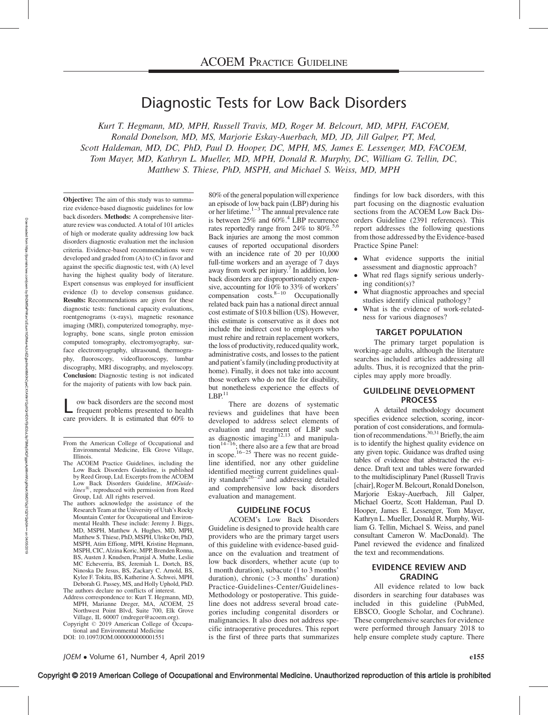# Diagnostic Tests for Low Back Disorders

Kurt T. Hegmann, MD, MPH, Russell Travis, MD, Roger M. Belcourt, MD, MPH, FACOEM, Ronald Donelson, MD, MS, Marjorie Eskay-Auerbach, MD, JD, Jill Galper, PT, Med, Scott Haldeman, MD, DC, PhD, Paul D. Hooper, DC, MPH, MS, James E. Lessenger, MD, FACOEM, Tom Mayer, MD, Kathryn L. Mueller, MD, MPH, Donald R. Murphy, DC, William G. Tellin, DC, Matthew S. Thiese, PhD, MSPH, and Michael S. Weiss, MD, MPH

Objective: The aim of this study was to summarize evidence-based diagnostic guidelines for low back disorders. Methods: A comprehensive literature review was conducted. A total of 101 articles of high or moderate quality addressing low back disorders diagnostic evaluation met the inclusion criteria. Evidence-based recommendations were developed and graded from (A) to (C) in favor and against the specific diagnostic test, with (A) level having the highest quality body of literature. Expert consensus was employed for insufficient evidence (I) to develop consensus guidance. Results: Recommendations are given for these diagnostic tests: functional capacity evaluations, roentgenograms (x-rays), magnetic resonance imaging (MRI), computerized tomography, myelography, bone scans, single proton emission computed tomography, electromyography, surface electromyography, ultrasound, thermography, fluoroscopy, videofluoroscopy, lumbar discography, MRI discography, and myeloscopy. Conclusion: Diagnostic testing is not indicated for the majority of patients with low back pain.

ow back disorders are the second most frequent problems presented to health care providers. It is estimated that 60% to

- The ACOEM Practice Guidelines, including the Low Back Disorders Guideline, is published by Reed Group, Ltd. Excerpts from the ACOEM Low Back Disorders Guideline, MDGuide $lines^{\circledR},$  reproduced with permission from Reed Group, Ltd. All rights reserved.
- The authors acknowledge the assistance of the Research Team at the University of Utah's Rocky Mountain Center for Occupational and Environmental Health. These include: Jeremy J. Biggs, MD, MSPH, Matthew A. Hughes, MD, MPH, Matthew S. Thiese, PhD, MSPH, Ulrike Ott, PhD, MSPH, Atim Effiong, MPH, Kristine Hegmann, MSPH, CIC, Alzina Koric, MPP, Brenden Ronna, BS, Austen J. Knudsen, Pranjal A. Muthe, Leslie MC Echeverria, BS, Jeremiah L. Dortch, BS, Ninoska De Jesus, BS, Zackary C. Arnold, BS, Kylee F. Tokita, BS, Katherine A. Schwei, MPH, Deborah G. Passey, MS, and Holly Uphold, PhD. The authors declare no conflicts of interest.
- Address correspondence to: Kurt T. Hegmann, MD, MPH, Marianne Dreger, MA, ACOEM, 25 Northwest Point Blvd, Suite 700, Elk Grove Village, IL 60007 ([mdreger@acoem.org\)](mailto:mdreger@acoem.org).
- Copyright © 2019 American College of Occupational and Environmental Medicine
- DOI: 10.1097/JOM.0000000000001551

80% of the general population will experience an episode of low back pain (LBP) during his or her lifetime. $1-3$  The annual prevalence rate is between  $25\%$  and  $60\%$ <sup>4</sup> LBP recurrence rates reportedly range from  $24\%$  to  $80\%$ .<sup>5,6</sup> Back injuries are among the most common causes of reported occupational disorders with an incidence rate of 20 per 10,000 full-time workers and an average of 7 days away from work per injury.<sup>7</sup> In addition, low back disorders are disproportionately expensive, accounting for 10% to 33% of workers' compensation  $\cos^8-10$  Occupationally related back pain has a national direct annual cost estimate of \$10.8 billion (US). However, this estimate is conservative as it does not include the indirect cost to employers who must rehire and retrain replacement workers, the loss of productivity, reduced quality work, administrative costs, and losses to the patient and patient's family (including productivity at home). Finally, it does not take into account those workers who do not file for disability, but nonetheless experience the effects of  $LBP<sup>11</sup>$ 

There are dozens of systematic reviews and guidelines that have been developed to address select elements of evaluation and treatment of LBP such as diagnostic imaging $12,13$  and manipula- $\frac{1}{4-16}$ ; there also are a few that are broad in scope.<sup>16–25</sup> There was no recent guideline identified, nor any other guideline identified meeting current guidelines qual-<br>ity standards<sup>26-29</sup> and addressing detailed and comprehensive low back disorders evaluation and management.

## GUIDELINE FOCUS

ACOEM's Low Back Disorders Guideline is designed to provide health care providers who are the primary target users of this guideline with evidence-based guidance on the evaluation and treatment of low back disorders, whether acute (up to 1 month duration), subacute (1 to 3 months' duration), chronic (>3 months' duration) Practice-Guidelines-Center/Guidelines-Methodology or postoperative. This guideline does not address several broad categories including congenital disorders or malignancies. It also does not address specific intraoperative procedures. This report is the first of three parts that summarizes

findings for low back disorders, with this part focusing on the diagnostic evaluation sections from the ACOEM Low Back Disorders Guideline (2391 references). This report addresses the following questions from those addressed by the Evidence-based Practice Spine Panel:

- What evidence supports the initial assessment and diagnostic approach?
- - What red flags signify serious underlying condition(s)?
- - What diagnostic approaches and special studies identify clinical pathology?
- - What is the evidence of work-relatedness for various diagnoses?

#### TARGET POPULATION

The primary target population is working-age adults, although the literature searches included articles addressing all adults. Thus, it is recognized that the principles may apply more broadly.

## GUILDELINE DEVELOPMENT **PROCESS**

A detailed methodology document specifies evidence selection, scoring, incorporation of cost considerations, and formulation of recommendations.  $30,31$  Briefly, the aim is to identify the highest quality evidence on any given topic. Guidance was drafted using tables of evidence that abstracted the evidence. Draft text and tables were forwarded to the multidisciplinary Panel (Russell Travis [chair], RogerM. Belcourt, Ronald Donelson, Marjorie Eskay-Auerbach, Jill Galper, Michael Goertz, Scott Haldeman, Paul D. Hooper, James E. Lessenger, Tom Mayer, Kathryn L. Mueller, Donald R. Murphy, William G. Tellin, Michael S. Weiss, and panel consultant Cameron W. MacDonald). The Panel reviewed the evidence and finalized the text and recommendations.

# EVIDENCE REVIEW AND **GRADING**

All evidence related to low back disorders in searching four databases was included in this guideline (PubMed, EBSCO, Google Scholar, and Cochrane). These comprehensive searches for evidence were performed through January 2018 to help ensure complete study capture. There

From the American College of Occupational and Environmental Medicine, Elk Grove Village, Illinois.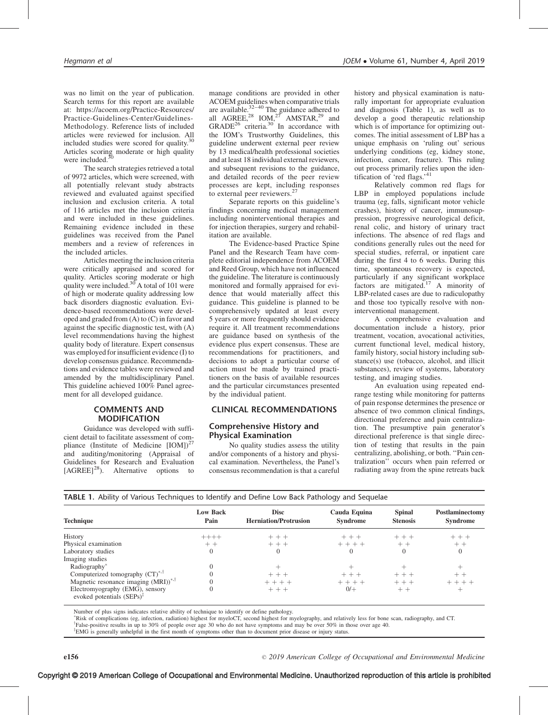was no limit on the year of publication. Search terms for this report are available at: [https://acoem.org/Practice-Resources/](https://acoem.org/Practice-Resources/Practice-Guidelines-Center/Guidelines-Methodology) [Practice-Guidelines-Center/Guidelines-](https://acoem.org/Practice-Resources/Practice-Guidelines-Center/Guidelines-Methodology)[Methodology.](https://acoem.org/Practice-Resources/Practice-Guidelines-Center/Guidelines-Methodology) Reference lists of included articles were reviewed for inclusion. All included studies were scored for quality. $30$ Articles scoring moderate or high quality were included. $\frac{3}{2}$ 

The search strategies retrieved a total of 9972 articles, which were screened, with all potentially relevant study abstracts reviewed and evaluated against specified inclusion and exclusion criteria. A total of 116 articles met the inclusion criteria and were included in these guidelines. Remaining evidence included in these guidelines was received from the Panel members and a review of references in the included articles.

Articles meeting the inclusion criteria were critically appraised and scored for quality. Articles scoring moderate or high quality were included. $30<sup>3</sup>$ A total of 101 were of high or moderate quality addressing low back disorders diagnostic evaluation. Evidence-based recommendations were developed and graded from (A) to (C) in favor and against the specific diagnostic test, with (A) level recommendations having the highest quality body of literature. Expert consensus was employed for insufficient evidence (I) to develop consensus guidance. Recommendations and evidence tables were reviewed and amended by the multidisciplinary Panel. This guideline achieved 100% Panel agreement for all developed guidance.

# COMMENTS AND MODIFICATION

Guidance was developed with sufficient detail to facilitate assessment of compliance (Institute of Medicine  $[IOM]$ )<sup>27</sup> and auditing/monitoring (Appraisal of Guidelines for Research and Evaluation  $[AGREE]<sup>28</sup>$ . Alternative options to

manage conditions are provided in other ACOEM guidelines when comparative trials are available. $32-40$  The guidance adhered to all AGREE,<sup>28</sup> IOM,<sup>27</sup> AMSTAR,<sup>29</sup> and  $GRADE<sup>26</sup>$  criteria.<sup>30</sup> In accordance with the IOM's Trustworthy Guidelines, this guideline underwent external peer review by 13 medical/health professional societies and at least 18 individual external reviewers, and subsequent revisions to the guidance, and detailed records of the peer review processes are kept, including responses to external peer reviewers.<sup>27</sup>

Separate reports on this guideline's findings concerning medical management including noninterventional therapies and for injection therapies, surgery and rehabilitation are available.

The Evidence-based Practice Spine Panel and the Research Team have complete editorial independence from ACOEM and Reed Group, which have not influenced the guideline. The literature is continuously monitored and formally appraised for evidence that would materially affect this guidance. This guideline is planned to be comprehensively updated at least every 5 years or more frequently should evidence require it. All treatment recommendations are guidance based on synthesis of the evidence plus expert consensus. These are recommendations for practitioners, and decisions to adopt a particular course of action must be made by trained practitioners on the basis of available resources and the particular circumstances presented by the individual patient.

# CLINICAL RECOMMENDATIONS

## Comprehensive History and Physical Examination

No quality studies assess the utility and/or components of a history and physical examination. Nevertheless, the Panel's consensus recommendation is that a careful history and physical examination is naturally important for appropriate evaluation and diagnosis (Table 1), as well as to develop a good therapeutic relationship which is of importance for optimizing outcomes. The initial assessment of LBP has a unique emphasis on 'ruling out' serious underlying conditions (eg, kidney stone, infection, cancer, fracture). This ruling out process primarily relies upon the identification of 'red flags.'<sup>41</sup>

Relatively common red flags for LBP in employed populations include trauma (eg, falls, significant motor vehicle crashes), history of cancer, immunosuppression, progressive neurological deficit, renal colic, and history of urinary tract infections. The absence of red flags and conditions generally rules out the need for special studies, referral, or inpatient care during the first 4 to 6 weeks. During this time, spontaneous recovery is expected, particularly if any significant workplace factors are mitigated.<sup>17</sup> A minority of LBP-related cases are due to radiculopathy and those too typically resolve with noninterventional management.

A comprehensive evaluation and documentation include a history, prior treatment, vocation, avocational activities, current functional level, medical history, family history, social history including substance(s) use (tobacco, alcohol, and illicit substances), review of systems, laboratory testing, and imaging studies.

An evaluation using repeated endrange testing while monitoring for patterns of pain response determines the presence or absence of two common clinical findings, directional preference and pain centralization. The presumptive pain generator's directional preference is that single direction of testing that results in the pain centralizing, abolishing, or both. ''Pain centralization'' occurs when pain referred or radiating away from the spine retreats back

| <b>Technique</b>                                                         |                         |                                             |                                 |                                  |                                    |
|--------------------------------------------------------------------------|-------------------------|---------------------------------------------|---------------------------------|----------------------------------|------------------------------------|
|                                                                          | <b>Low Back</b><br>Pain | <b>Disc</b><br><b>Herniation/Protrusion</b> | Cauda Equina<br><b>Syndrome</b> | <b>Spinal</b><br><b>Stenosis</b> | Postlaminectomy<br><b>Syndrome</b> |
| History                                                                  | $++++-$                 | $++ +$                                      | $+ + +$                         | $+ + +$                          | $++$ + $+$                         |
| Physical examination                                                     | $++$                    | $++$                                        | $+ + + +$                       | $++$                             | $++$                               |
| Laboratory studies                                                       | $\theta$                | $\Omega$                                    | $\Omega$                        | $\theta$                         | $\theta$                           |
| Imaging studies                                                          |                         |                                             |                                 |                                  |                                    |
| Radiography*                                                             |                         |                                             |                                 |                                  |                                    |
| Computerized tomography $(CT)^{*,\top}$                                  |                         | $+ + +$                                     | $+++$                           | $+++$                            | $++$                               |
| Magnetic resonance imaging $(MRI)^{*,\uparrow}$                          |                         | $+ + + +$                                   | $+ + + +$                       | $++$ $+$                         | $+ + + +$                          |
| Electromyography (EMG), sensory<br>evoked potentials $(SEPs)^{\ddagger}$ |                         | $++$                                        | $0/+$                           | $++$                             | $^+$                               |

Number of plus signs indicates relative ability of technique to identify or define pathology.

<sup>\*</sup>Risk of complications (eg, infection, radiation) highest for myeloCT, second highest for myelography, and relatively less for bone scan, radiography, and CT.  $\frac{1}{2}$ 

False-positive results in up to 30% of people over age 30 who do not have symptoms and may be over 50% in those over age 40. <sup>‡</sup>EMG is generally unhelpful in the first month of symptoms other than to document prior disease or injury status.

TABLE 1. Ability of Various Techniques to Identify and Define Low Back Pathology and Sequelae

2019 American College of Occupational and Environmental Medicine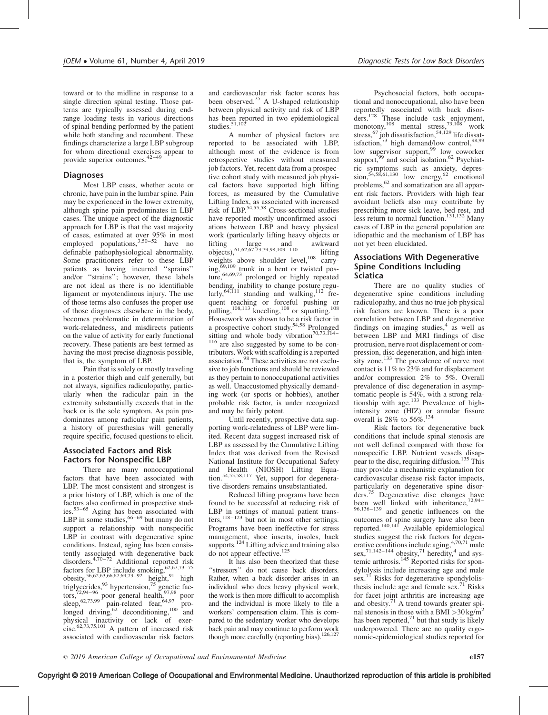toward or to the midline in response to a single direction spinal testing. Those patterns are typically assessed during endrange loading tests in various directions of spinal bending performed by the patient while both standing and recumbent. These findings characterize a large LBP subgroup for whom directional exercises appear to provide superior outcomes.42–49

# **Diagnoses**

Most LBP cases, whether acute or chronic, have pain in the lumbar spine. Pain may be experienced in the lower extremity, although spine pain predominates in LBP cases. The unique aspect of the diagnostic approach for LBP is that the vast majority % of cases, estimated at over  $95\%$  in most<br>employed populations,  $3,50-52$  have no definable pathophysiological abnormality. Some practitioners refer to these LBP patients as having incurred ''sprains'' and/or ''strains''; however, these labels are not ideal as there is no identifiable ligament or myotendinous injury. The use of those terms also confuses the proper use of those diagnoses elsewhere in the body, becomes problematic in determination of work-relatedness, and misdirects patients on the value of activity for early functional recovery. These patients are best termed as having the most precise diagnosis possible, that is, the symptom of LBP.

Pain that is solely or mostly traveling in a posterior thigh and calf generally, but not always, signifies radiculopathy, particularly when the radicular pain in the extremity substantially exceeds that in the back or is the sole symptom. As pain predominates among radicular pain patients, a history of paresthesias will generally require specific, focused questions to elicit.

# Associated Factors and Risk Factors for Nonspecific LBP

There are many nonoccupational factors that have been associated with LBP. The most consistent and strongest is a prior history of LBP, which is one of the factors also confirmed in prospective studies.53–65 Aging has been associated with LBP in some studies,  $66-69$  but many do not support a relationship with nonspecific LBP in contrast with degenerative spine conditions. Instead, aging has been consistently associated with degenerative back disorders.4,70–72 Additional reported risk factors for LBP include smoking,  $62,67,73-75$ obesity,<sup>56,62,63,66,67,69,73–92</sup> height,<sup>91</sup> high triglycerides,  $93$  hypertension,  $75$  genetic factors, $72,94-96$  poor general health,  $97,98$  poor sleep,  $62,73,99$  pain-related fear,  $64,97$  prolonged driving,  $^{62}$  deconditioning,  $^{100}$  and physical inactivity or lack of exer-<br>cise.<sup>62,73,75,101</sup> A pattern of increased risk associated with cardiovascular risk factors

and cardiovascular risk factor scores has been observed.75 A U-shaped relationship between physical activity and risk of LBP has been reported in two epidemiological studies.<sup>51,102</sup>

A number of physical factors are reported to be associated with LBP, although most of the evidence is from retrospective studies without measured job factors. Yet, recent data from a prospective cohort study with measured job physical factors have supported high lifting forces, as measured by the Cumulative Lifting Index, as associated with increased risk of LBP.<sup>54,55,58</sup> Cross-sectional studies have reported mostly unconfirmed associations between LBP and heavy physical work (particularly lifting heavy objects or lifting large and awkward<br>objects),<sup>61,62,67,73,79,98,103–110</sup> lifting weights above shoulder level, $108$  carrying,<sup>69,109</sup> trunk in a bent or twisted posture, 64,69,73 prolonged or highly repeated bending, inability to change posture regu-<br>larly,<sup>64,111</sup> standing and walking,<sup>112</sup> frequent reaching or forceful pushing or pulling,<sup>108,113</sup> kneeling,<sup>108</sup> or squatting.<sup>108</sup> Housework was shown to be a risk factor in a prospective cohort study.54,58 Prolonged sitting and whole body vibration<sup>70,73,114</sup>

<sup>116</sup> are also suggested by some to be contributors. Work with scaffolding is a reported association.98 These activities are not exclusive to job functions and should be reviewed as they pertain to nonoccupational activities as well. Unaccustomed physically demanding work (or sports or hobbies), another probable risk factor, is under recognized and may be fairly potent.

Until recently, prospective data supporting work-relatedness of LBP were limited. Recent data suggest increased risk of LBP as assessed by the Cumulative Lifting Index that was derived from the Revised National Institute for Occupational Safety and Health (NIOSH) Lifting Equa-tion.54,55,58,117 Yet, support for degenerative disorders remains unsubstantiated.

Reduced lifting programs have been found to be successful at reducing risk of LBP in settings of manual patient trans $fers$ ,<sup>118–123</sup> but not in most other settings. Programs have been ineffective for stress management, shoe inserts, insoles, back supports.<sup>124</sup> Lifting advice and training also do not appear effective.<sup>125</sup>

It has also been theorized that these ''stressors'' do not cause back disorders. Rather, when a back disorder arises in an individual who does heavy physical work, the work is then more difficult to accomplish and the individual is more likely to file a workers' compensation claim. This is compared to the sedentary worker who develops back pain and may continue to perform work though more carefully (reporting bias).<sup>126,127</sup>

Psychosocial factors, both occupational and nonoccupational, also have been reportedly associated with back disorders.<sup>128</sup> These include task enjoyment, monotony,<sup>108</sup> mental stress, $\frac{73,108}{ }$  work stress,  $^{67}$  job dissatisfaction,  $^{54,129}$  life dissatisfaction, $73$  high demand/low control, $98,99$ low supervisor support,<sup>99</sup> low coworker support,<sup>99</sup> and social isolation.<sup>62</sup> Psychiatric symptoms such as anxiety, depres-<br>sion,  $54,58,61,130$  low energy,  $62$  emotional problems,<sup>62</sup> and somatization are all apparent risk factors. Providers with high fear avoidant beliefs also may contribute by prescribing more sick leave, bed rest, and less return to normal function.<sup>131,132</sup> Many cases of LBP in the general population are idiopathic and the mechanism of LBP has not yet been elucidated.

# Associations With Degenerative Spine Conditions Including Sciatica

There are no quality studies of degenerative spine conditions including radiculopathy, and thus no true job physical risk factors are known. There is a poor correlation between LBP and degenerative findings on imaging studies, $4$  as well as between LBP and MRI findings of disc protrusion, nerve root displacement or compression, disc degeneration, and high intensity zone.<sup>133</sup> The prevalence of nerve root contact is 11% to 23% and for displacement and/or compression 2% to 5%. Overall prevalence of disc degeneration in asymptomatic people is 54%, with a strong relationship with age.<sup>133</sup> Prevalence of highintensity zone (HIZ) or annular fissure<br>overall is  $28\%$  to  $56\%$ .<sup>134</sup>

Risk factors for degenerative back conditions that include spinal stenosis are not well defined compared with those for nonspecific LBP. Nutrient vessels disappear to the disc, requiring diffusion.<sup>135</sup> This may provide a mechanistic explanation for cardiovascular disease risk factor impacts, particularly on degenerative spine disorders.<sup>75</sup> Degenerative disc changes have been well linked with inheritance,<sup>72,94-</sup> 96,136–139 and genetic influences on the outcomes of spine surgery have also been reported.140,141 Available epidemiological studies suggest the risk factors for degenerative conditions include aging,  $4,70,71$  male sex,<sup>71,142–144</sup> obesity,<sup>71</sup> heredity,<sup>4</sup> and systemic arthrosis. $^{145}$  Reported risks for spondylolysis include increasing age and male sex.<sup>71</sup> Risks for degenerative spondylolisthesis include age and female sex.<sup>71</sup> Risks for facet joint arthritis are increasing age and obesity. $71$  A trend towards greater spinal stenosis in those with a BMI  $>$ 30 kg/m<sup>2</sup> has been reported, $71$  but that study is likely underpowered. There are no quality ergonomic-epidemiological studies reported for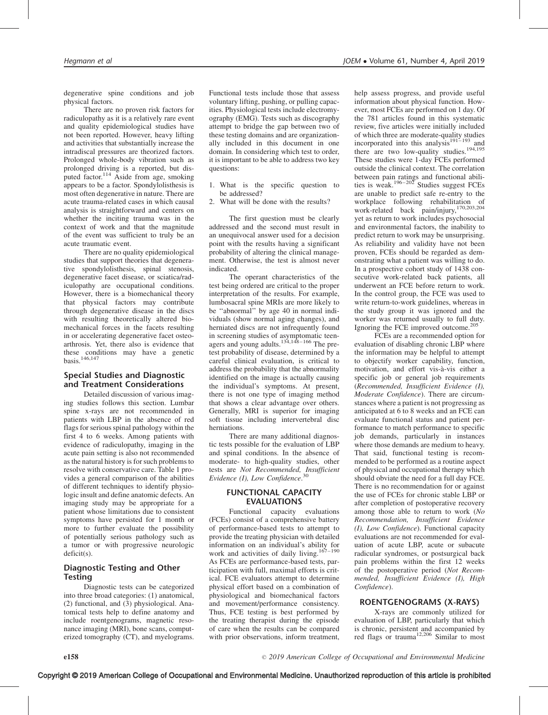degenerative spine conditions and job physical factors.

There are no proven risk factors for radiculopathy as it is a relatively rare event and quality epidemiological studies have not been reported. However, heavy lifting and activities that substantially increase the intradiscal pressures are theorized factors. Prolonged whole-body vibration such as prolonged driving is a reported, but disputed factor.<sup>114</sup> Aside from age, smoking appears to be a factor. Spondylolisthesis is most often degenerative in nature. There are acute trauma-related cases in which causal analysis is straightforward and centers on whether the inciting trauma was in the context of work and that the magnitude of the event was sufficient to truly be an acute traumatic event.

There are no quality epidemiological studies that support theories that degenerative spondylolisthesis, spinal stenosis, degenerative facet disease, or sciatica/radiculopathy are occupational conditions. However, there is a biomechanical theory that physical factors may contribute through degenerative disease in the discs with resulting theoretically altered biomechanical forces in the facets resulting in or accelerating degenerative facet osteoarthrosis. Yet, there also is evidence that these conditions may have a genetic basis.<sup>146,147</sup>

# Special Studies and Diagnostic and Treatment Considerations

Detailed discussion of various imaging studies follows this section. Lumbar spine x-rays are not recommended in patients with LBP in the absence of red flags for serious spinal pathology within the first 4 to 6 weeks. Among patients with evidence of radiculopathy, imaging in the acute pain setting is also not recommended as the natural history is for such problems to resolve with conservative care. Table 1 provides a general comparison of the abilities of different techniques to identify physiologic insult and define anatomic defects. An imaging study may be appropriate for a patient whose limitations due to consistent symptoms have persisted for 1 month or more to further evaluate the possibility of potentially serious pathology such as a tumor or with progressive neurologic deficit(s).

# Diagnostic Testing and Other **Testing**

Diagnostic tests can be categorized into three broad categories: (1) anatomical, (2) functional, and (3) physiological. Anatomical tests help to define anatomy and include roentgenograms, magnetic resonance imaging (MRI), bone scans, computerized tomography (CT), and myelograms.

Functional tests include those that assess voluntary lifting, pushing, or pulling capacities. Physiological tests include electromyography (EMG). Tests such as discography attempt to bridge the gap between two of these testing domains and are organizationally included in this document in one domain. In considering which test to order, it is important to be able to address two key questions:

- 1. What is the specific question to be addressed?
- 2. What will be done with the results?

The first question must be clearly addressed and the second must result in an unequivocal answer used for a decision point with the results having a significant probability of altering the clinical management. Otherwise, the test is almost never indicated.

The operant characteristics of the test being ordered are critical to the proper interpretation of the results. For example, lumbosacral spine MRIs are more likely to be ''abnormal'' by age 40 in normal individuals (show normal aging changes), and herniated discs are not infrequently found in screening studies of asymptomatic teenagers and young adults.<sup>134,148–166</sup> The pretest probability of disease, determined by a careful clinical evaluation, is critical to address the probability that the abnormality identified on the image is actually causing the individual's symptoms. At present, there is not one type of imaging method that shows a clear advantage over others. Generally, MRI is superior for imaging soft tissue including intervertebral disc herniations.

There are many additional diagnostic tests possible for the evaluation of LBP and spinal conditions. In the absence of moderate- to high-quality studies, other tests are Not Recommended, Insufficient Evidence (I), Low Confidence.<sup>30</sup>

## FUNCTIONAL CAPACITY EVALUATIONS

Functional capacity evaluations (FCEs) consist of a comprehensive battery of performance-based tests to attempt to provide the treating physician with detailed information on an individual's ability for work and activities of daily living. $167-190$ As FCEs are performance-based tests, participation with full, maximal efforts is critical. FCE evaluators attempt to determine physical effort based on a combination of physiological and biomechanical factors and movement/performance consistency. Thus, FCE testing is best performed by the treating therapist during the episode of care when the results can be compared with prior observations, inform treatment,

help assess progress, and provide useful information about physical function. However, most FCEs are performed on 1 day. Of the 781 articles found in this systematic review, five articles were initially included of which three are moderate-quality studies incorporated into this analysis $191-193$  and there are two low-quality studies.<sup>194,195</sup> These studies were 1-day FCEs performed outside the clinical context. The correlation between pain ratings and functional abilities is weak.<sup>196-202</sup> Studies suggest FCEs are unable to predict safe re-entry to the workplace following rehabilitation of work-related back pain/injury,170,203,204 yet as return to work includes psychosocial and environmental factors, the inability to predict return to work may be unsurprising. As reliability and validity have not been proven, FCEs should be regarded as demonstrating what a patient was willing to do. In a prospective cohort study of 1438 consecutive work-related back patients, all underwent an FCE before return to work. In the control group, the FCE was used to write return-to-work guidelines, whereas in the study group it was ignored and the worker was returned usually to full duty. Ignoring the FCE improved outcome.<sup>205</sup>

FCEs are a recommended option for evaluation of disabling chronic LBP where the information may be helpful to attempt to objectify worker capability, function, motivation, and effort vis-à-vis either a specific job or general job requirements (Recommended, Insufficient Evidence (I), Moderate Confidence). There are circumstances where a patient is not progressing as anticipated at 6 to 8 weeks and an FCE can evaluate functional status and patient performance to match performance to specific job demands, particularly in instances where those demands are medium to heavy. That said, functional testing is recommended to be performed as a routine aspect of physical and occupational therapy which should obviate the need for a full day FCE. There is no recommendation for or against the use of FCEs for chronic stable LBP or after completion of postoperative recovery among those able to return to work (No Recommendation, Insufficient Evidence (I), Low Confidence). Functional capacity evaluations are not recommended for evaluation of acute LBP, acute or subacute radicular syndromes, or postsurgical back pain problems within the first 12 weeks of the postoperative period (Not Recommended, Insufficient Evidence (I), High Confidence).

## ROENTGENOGRAMS (X-RAYS)

X-rays are commonly utilized for evaluation of LBP, particularly that which is chronic, persistent and accompanied by<br>red flags or trauma<sup>12,206</sup> Similar to most

2019 American College of Occupational and Environmental Medicine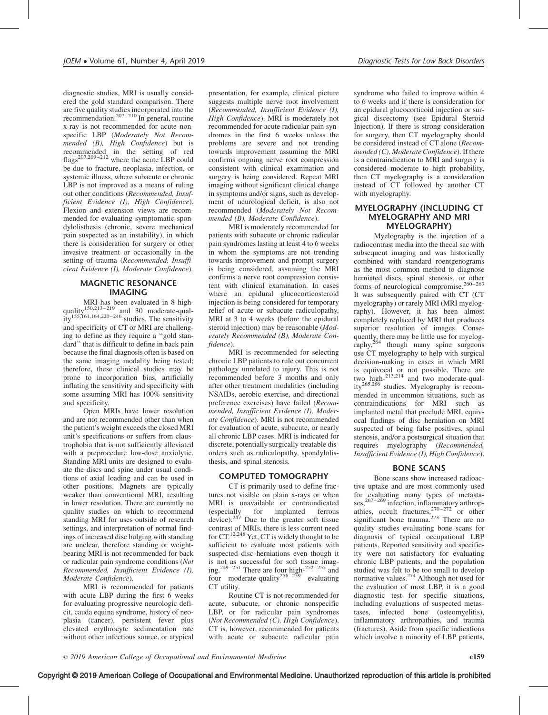diagnostic studies, MRI is usually considered the gold standard comparison. There are five quality studies incorporated into the recommendation.<sup>207–210</sup> In general, routine x-ray is not recommended for acute nonspecific LBP (Moderately Not Recommended (B), High Confidence) but is recommended in the setting of red flags<sup>207,209–212</sup> where the acute LBP could be due to fracture, neoplasia, infection, or systemic illness, where subacute or chronic LBP is not improved as a means of ruling out other conditions (Recommended, Insufficient Evidence (I), High Confidence). Flexion and extension views are recommended for evaluating symptomatic spondylolisthesis (chronic, severe mechanical pain suspected as an instability), in which there is consideration for surgery or other invasive treatment or occasionally in the setting of trauma (Recommended, Insufficient Evidence (I), Moderate Confidence).

#### MAGNETIC RESONANCE IMAGING

MRI has been evaluated in 8 highquality<sup>150,213–219</sup> and 30 moderate-qual $ity^{155,161,164,220-246}$  studies. The sensitivity and specificity of CT or MRI are challenging to define as they require a ''gold standard'' that is difficult to define in back pain because the final diagnosis often is based on the same imaging modality being tested; therefore, these clinical studies may be prone to incorporation bias, artificially inflating the sensitivity and specificity with some assuming MRI has 100% sensitivity and specificity.

Open MRIs have lower resolution and are not recommended other than when the patient's weight exceeds the closed MRI unit's specifications or suffers from claustrophobia that is not sufficiently alleviated with a preprocedure low-dose anxiolytic. Standing MRI units are designed to evaluate the discs and spine under usual conditions of axial loading and can be used in other positions. Magnets are typically weaker than conventional MRI, resulting in lower resolution. There are currently no quality studies on which to recommend standing MRI for uses outside of research settings, and interpretation of normal findings of increased disc bulging with standing are unclear, therefore standing or weightbearing MRI is not recommended for back or radicular pain syndrome conditions (Not Recommended, Insufficient Evidence (I), Moderate Confidence).

MRI is recommended for patients with acute LBP during the first 6 weeks for evaluating progressive neurologic deficit, cauda equina syndrome, history of neoplasia (cancer), persistent fever plus elevated erythrocyte sedimentation rate without other infectious source, or atypical

presentation, for example, clinical picture suggests multiple nerve root involvement (Recommended, Insufficient Evidence (I), High Confidence). MRI is moderately not recommended for acute radicular pain syndromes in the first 6 weeks unless the problems are severe and not trending towards improvement assuming the MRI confirms ongoing nerve root compression consistent with clinical examination and surgery is being considered. Repeat MRI imaging without significant clinical change in symptoms and/or signs, such as development of neurological deficit, is also not recommended (Moderately Not Recommended (B), Moderate Confidence).

MRI is moderately recommended for patients with subacute or chronic radicular pain syndromes lasting at least 4 to 6 weeks in whom the symptoms are not trending towards improvement and prompt surgery is being considered, assuming the MRI confirms a nerve root compression consistent with clinical examination. In cases where an epidural glucocorticosteroid injection is being considered for temporary relief of acute or subacute radiculopathy, MRI at 3 to 4 weeks (before the epidural steroid injection) may be reasonable (Moderately Recommended (B), Moderate Confidence).

MRI is recommended for selecting chronic LBP patients to rule out concurrent pathology unrelated to injury. This is not recommended before 3 months and only after other treatment modalities (including NSAIDs, aerobic exercise, and directional preference exercises) have failed (Recommended, Insufficient Evidence (I), Moderate Confidence). MRI is not recommended for evaluation of acute, subacute, or nearly all chronic LBP cases. MRI is indicated for discrete, potentially surgically treatable disorders such as radiculopathy, spondylolisthesis, and spinal stenosis.

#### COMPUTED TOMOGRAPHY

CT is primarily used to define fractures not visible on plain x-rays or when MRI is unavailable or contraindicated<br>(especially for implanted ferrous (especially for implanted ferrous device).<sup>247</sup> Due to the greater soft tissue contrast of MRIs, there is less current need for CT.12,248 Yet, CT is widely thought to be sufficient to evaluate most patients with suspected disc herniations even though it is not as successful for soft tissue imaging.<sup>249–251</sup> There are four high- $252-255$  and four moderate-quality<sup>256–259</sup> evaluating CT utility.

Routine CT is not recommended for acute, subacute, or chronic nonspecific LBP, or for radicular pain syndromes (Not Recommended (C), High Confidence). CT is, however, recommended for patients with acute or subacute radicular pain

syndrome who failed to improve within 4 to 6 weeks and if there is consideration for an epidural glucocorticoid injection or surgical discectomy (see Epidural Steroid Injection). If there is strong consideration for surgery, then CT myelography should be considered instead of CT alone (Recommended (C), Moderate Confidence). If there is a contraindication to MRI and surgery is considered moderate to high probability, then CT myelography is a consideration instead of CT followed by another CT with myelography.

#### MYELOGRAPHY (INCLUDING CT MYELOGRAPHY AND MRI MYELOGRAPHY)

Myelography is the injection of a radiocontrast media into the thecal sac with subsequent imaging and was historically combined with standard roentgenograms as the most common method to diagnose herniated discs, spinal stenosis, or other forms of neurological compromise.<sup>260-263</sup> It was subsequently paired with CT (CT myelography) or rarely MRI (MRI myelography). However, it has been almost completely replaced by MRI that produces superior resolution of images. Consequently, there may be little use for myelography,<sup>264</sup> though many spine surgeons use CT myelography to help with surgical decision-making in cases in which MRI is equivocal or not possible. There are two high-213,214 and two moderate-quality<sup>265,266</sup> studies. Myelography is recommended in uncommon situations, such as contraindications for MRI such as implanted metal that preclude MRI, equivocal findings of disc herniation on MRI suspected of being false positives, spinal stenosis, and/or a postsurgical situation that requires myelography (Recommended, Insufficient Evidence (I), High Confidence).

## BONE SCANS

Bone scans show increased radioactive uptake and are most commonly used for evaluating many types of metasta $s$ es,<sup>267–269</sup> infection, inflammatory arthropathies, occult fractures, $270-272$  or other significant bone trauma.<sup>273</sup> There are no quality studies evaluating bone scans for diagnosis of typical occupational LBP patients. Reported sensitivity and specificity were not satisfactory for evaluating chronic LBP patients, and the population studied was felt to be too small to develop normative values.<sup>274</sup> Although not used for the evaluation of most LBP, it is a good diagnostic test for specific situations, including evaluations of suspected metastases, infected bone (osteomyelitis), inflammatory arthropathies, and trauma (fractures). Aside from specific indications which involve a minority of LBP patients,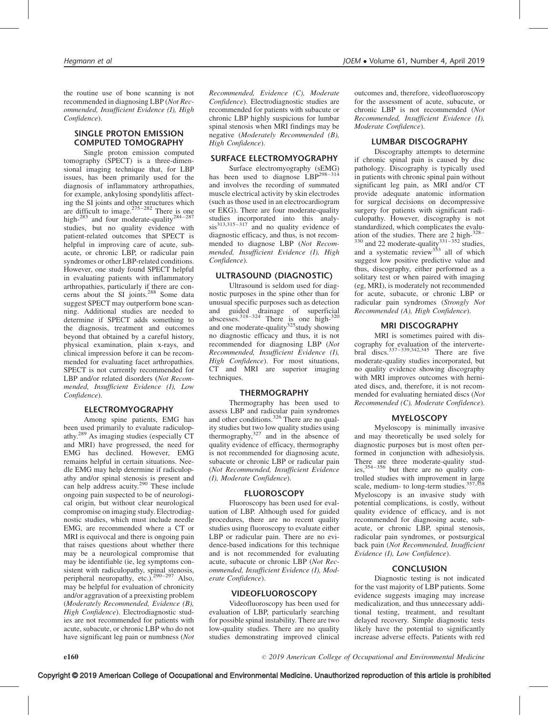the routine use of bone scanning is not recommended in diagnosing LBP (Not Recommended, Insufficient Evidence (I), High Confidence).

## SINGLE PROTON EMISSION COMPUTED TOMOGRAPHY

Single proton emission computed tomography (SPECT) is a three-dimensional imaging technique that, for LBP issues, has been primarily used for the diagnosis of inflammatory arthropathies, for example, ankylosing spondylitis affecting the SI joints and other structures which<br>are difficult to image.<sup>275–282</sup> There is one high-<sup>283</sup> and four moderate-quality<sup>284-287</sup> studies, but no quality evidence with patient-related outcomes that SPECT is helpful in improving care of acute, subacute, or chronic LBP, or radicular pain syndromes or other LBP-related conditions. However, one study found SPECT helpful in evaluating patients with inflammatory arthropathies, particularly if there are concerns about the SI joints.<sup>288</sup> Some data suggest SPECT may outperform bone scanning. Additional studies are needed to determine if SPECT adds something to the diagnosis, treatment and outcomes beyond that obtained by a careful history, physical examination, plain x-rays, and clinical impression before it can be recommended for evaluating facet arthropathies. SPECT is not currently recommended for LBP and/or related disorders (Not Recommended, Insufficient Evidence (I), Low Confidence).

## ELECTROMYOGRAPHY

Among spine patients, EMG has been used primarily to evaluate radiculopathy.289 As imaging studies (especially CT and MRI) have progressed, the need for EMG has declined. However, EMG remains helpful in certain situations. Needle EMG may help determine if radiculopathy and/or spinal stenosis is present and can help address acuity.<sup>290</sup> These include ongoing pain suspected to be of neurological origin, but without clear neurological compromise on imaging study. Electrodiagnostic studies, which must include needle EMG, are recommended where a CT or MRI is equivocal and there is ongoing pain that raises questions about whether there may be a neurological compromise that may be identifiable (ie, leg symptoms consistent with radiculopathy, spinal stenosis, peripheral neuropathy, etc.).<sup>290–297</sup> Also, may be helpful for evaluation of chronicity and/or aggravation of a preexisting problem (Moderately Recommended, Evidence (B), High Confidence). Electrodiagnostic studies are not recommended for patients with acute, subacute, or chronic LBP who do not have significant leg pain or numbness (*Not* 

Recommended, Evidence (C), Moderate Confidence). Electrodiagnostic studies are recommended for patients with subacute or chronic LBP highly suspicious for lumbar spinal stenosis when MRI findings may be negative (Moderately Recommended (B), High Confidence).

#### SURFACE ELECTROMYOGRAPHY

Surface electromyography (sEMG) has been used to diagnose LBP<sup>298-314</sup> and involves the recording of summated muscle electrical activity by skin electrodes (such as those used in an electrocardiogram or EKG). There are four moderate-quality studies incorporated into this analy- $\sin^{313,315-317}$  and no quality evidence of diagnostic efficacy, and thus, is not recommended to diagnose LBP (Not Recommended, Insufficient Evidence (I), High Confidence).

## ULTRASOUND (DIAGNOSTIC)

Ultrasound is seldom used for diagnostic purposes in the spine other than for unusual specific purposes such as detection and guided drainage of superficial abscesses.<sup>318–324</sup> There is one high- $320$ and one moderate-quality $325$  study showing no diagnostic efficacy and thus, it is not recommended for diagnosing LBP (Not Recommended, Insufficient Evidence (I), High Confidence). For most situations, CT and MRI are superior imaging techniques.

#### THERMOGRAPHY

Thermography has been used to assess LBP and radicular pain syndromes and other conditions.<sup>326</sup> There are no quality studies but two low quality studies using thermography, $327$  and in the absence of quality evidence of efficacy, thermography is not recommended for diagnosing acute, subacute or chronic LBP or radicular pain (Not Recommended, Insufficient Evidence (I), Moderate Confidence).

#### **FLUOROSCOPY**

Fluoroscopy has been used for evaluation of LBP. Although used for guided procedures, there are no recent quality studies using fluoroscopy to evaluate either LBP or radicular pain. There are no evidence-based indications for this technique and is not recommended for evaluating acute, subacute or chronic LBP (Not Recommended, Insufficient Evidence (I), Moderate Confidence).

#### VIDEOFLUOROSCOPY

Videofluoroscopy has been used for evaluation of LBP, particularly searching for possible spinal instability. There are two low-quality studies. There are no quality studies demonstrating improved clinical

outcomes and, therefore, videofluoroscopy for the assessment of acute, subacute, or chronic LBP is not recommended (Not Recommended, Insufficient Evidence (I), Moderate Confidence).

#### LUMBAR DISCOGRAPHY

Discography attempts to determine if chronic spinal pain is caused by disc pathology. Discography is typically used in patients with chronic spinal pain without significant leg pain, as MRI and/or CT provide adequate anatomic information for surgical decisions on decompressive surgery for patients with significant radiculopathy. However, discography is not standardized, which complicates the evaluation of the studies. There are 2 high-328–  $330$  and 22 moderate-quality $331-352$  studies, and a systematic review<sup>353</sup> all of which suggest low positive predictive value and thus, discography, either performed as a solitary test or when paired with imaging (eg, MRI), is moderately not recommended for acute, subacute, or chronic LBP or radicular pain syndromes (Strongly Not Recommended (A), High Confidence).

#### MRI DISCOGRAPHY

MRI is sometimes paired with discography for evaluation of the intervertebral discs. $337-339,342,345$  There are five moderate-quality studies incorporated, but no quality evidence showing discography with MRI improves outcomes with herniated discs, and, therefore, it is not recommended for evaluating herniated discs (Not Recommended (C), Moderate Confidence).

## MYELOSCOPY

Myeloscopy is minimally invasive and may theoretically be used solely for diagnostic purposes but is most often performed in conjunction with adhesiolysis. There are three moderate-quality stud-<br>ies,<sup>354–356</sup> but there are no quality controlled studies with improvement in large<br>scale, medium- to long-term studies.<sup>357,358</sup> Myeloscopy is an invasive study with potential complications, is costly, without quality evidence of efficacy, and is not recommended for diagnosing acute, subacute, or chronic LBP, spinal stenosis, radicular pain syndromes, or postsurgical back pain (Not Recommended, Insufficient Evidence (I), Low Confidence).

## **CONCLUSION**

Diagnostic testing is not indicated for the vast majority of LBP patients. Some evidence suggests imaging may increase medicalization, and thus unnecessary additional testing, treatment, and resultant delayed recovery. Simple diagnostic tests likely have the potential to significantly increase adverse effects. Patients with red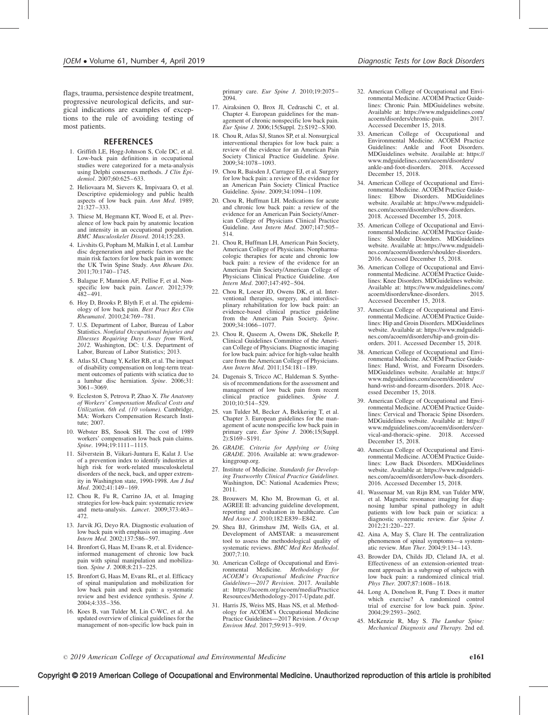flags, trauma, persistence despite treatment, progressive neurological deficits, and surgical indications are examples of exceptions to the rule of avoiding testing of most patients.

#### REFERENCES

- 1. Griffith LE, Hogg-Johnson S, Cole DC, et al. Low-back pain definitions in occupational studies were categorized for a meta-analysis using Delphi consensus methods. J Clin Epidemiol. 2007;60:625–633.
- 2. Heliovaara M, Sievers K, Impivaara O, et al. Descriptive epidemiology and public health aspects of low back pain. Ann Med. 1989; 21:327–333.
- 3. Thiese M, Hegmann KT, Wood E, et al. Prevalence of low back pain by anatomic location and intensity in an occupational population. BMC Musculoskelet Disord. 2014;15:283.
- 4. Livshits G, Popham M, Malkin I, et al. Lumbar disc degeneration and genetic factors are the main risk factors for low back pain in women: the UK Twin Spine Study. Ann Rheum Dis. 2011;70:1740–1745.
- 5. Balague F, Mannion AF, Pellise F, et al. Nonspecific low back pain. Lancet. 2012;379: 482–491.
- 6. Hoy D, Brooks P, Blyth F, et al. The epidemiology of low back pain. Best Pract Res Clin Rheumatol. 2010;24:769–781.
- 7. U.S. Department of Labor, Bureau of Labor Statistics. Nonfatal Occupational Injuries and Illnesses Requiring Days Away from Work, 2012. Washington, DC: U.S. Department of Labor, Bureau of Labor Statistics; 2013.
- 8. Atlas SJ, Chang Y, Keller RB, et al. The impact of disability compensation on long-term treatment outcomes of patients with sciatica due to a lumbar disc herniation. Spine. 2006;31: 3061–3069.
- 9. Eccleston S, Petrova P, Zhao X. The Anatomy of Workers' Compensation Medical Costs and Utilization. 6th ed. (10 volume). Cambridge, MA: Workers Compensation Research Institute; 2007.
- 10. Webster BS, Snook SH. The cost of 1989 workers' compensation low back pain claims. Spine. 1994;19:1111-1115.
- 11. Silverstein B, Viikari-Juntura E, Kalat J. Use of a prevention index to identify industries at high risk for work-related musculoskeletal disorders of the neck, back, and upper extremity in Washington state, 1990-1998. Am J Ind Med. 2002;41:149–169.
- 12. Chou R, Fu R, Carrino JA, et al. Imaging strategies for low-back pain: systematic review and meta-analysis. Lancet. 2009;373:463– 472.
- 13. Jarvik JG, Deyo RA. Diagnostic evaluation of low back pain with emphasis on imaging. Ann Intern Med. 2002;137:586–597.
- 14. Bronfort G, Haas M, Evans R, et al. Evidenceinformed management of chronic low back pain with spinal manipulation and mobilization. Spine  $\hat{J}$ . 2008;8:213–225.
- 15. Bronfort G, Haas M, Evans RL, et al. Efficacy of spinal manipulation and mobilization for low back pain and neck pain: a systematic review and best evidence synthesis. Spine J. 2004;4:335–356.
- 16. Koes B, van Tulder M, Lin C-WC, et al. An updated overview of clinical guidelines for the management of non-specific low back pain in

primary care. Eur Spine J. 2010;19:2075– 2094.

- 17. Airaksinen O, Brox JI, Cedraschi C, et al. Chapter 4. European guidelines for the management of chronic nonspecific low back pain. Eur Spine J. 2006;15(Suppl. 2):S192–S300.
- 18. Chou R, Atlas SJ, Stanos SP, et al. Nonsurgical interventional therapies for low back pain: a review of the evidence for an American Pain Society Clinical Practice Guideline. Spine. 2009;34:1078–1093.
- 19. Chou R, Baisden J, Carragee EJ, et al. Surgery for low back pain: a review of the evidence for an American Pain Society Clinical Practice Guideline. Spine. 2009;34:1094–1109.
- 20. Chou R, Huffman LH. Medications for acute and chronic low back pain: a review of the evidence for an American Pain Society/American College of Physicians Clinical Practice Guideline. Ann Intern Med. 2007;147:505– 514.
- 21. Chou R, Huffman LH, American Pain Society, American College of Physicians. Nonpharmacologic therapies for acute and chronic low back pain: a review of the evidence for an American Pain Society/American College of Physicians Clinical Practice Guideline. Ann Intern Med. 2007;147:492–504.
- 22. Chou R, Loeser JD, Owens DK, et al. Interventional therapies, surgery, and interdisciplinary rehabilitation for low back pain: an evidence-based clinical practice guideline from the American Pain Society. Spine. 2009;34:1066–1077.
- 23. Chou R, Qaseem A, Owens DK, Shekelle P, Clinical Guidelines Committee of the American College of Physicians. Diagnostic imaging for low back pain: advice for high-value health care from the American College of Physicians. Ann Intern Med. 2011;154:181–189.
- 24. Dagenais S, Tricco AC, Haldeman S. Synthesis of recommendations for the assessment and management of low back pain from recent clinical practice guidelines. Spine J. 2010;10:514–529.
- 25. van Tulder M, Becker A, Bekkering T, et al. Chapter 3. European guidelines for the management of acute nonspecific low back pain in primary care. Eur Spine J. 2006;15(Suppl.  $2):S169-S191.$
- 26. GRADE. Criteria for Applying or Using GRADE. 2016. Available at: [www.gradewor](http://www.gradeworkinggroup.org/)[kinggroup.org.](http://www.gradeworkinggroup.org/)
- 27. Institute of Medicine. Standards for Developing Trustworthy Clinical Practice Guidelines. Washington, DC: National Academies Press; 2011.
- 28. Brouwers M, Kho M, Browman G, et al. AGREE II: advancing guideline development, reporting and evaluation in healthcare. Can Med Assoc J. 2010;182:E839–E842.
- 29. Shea BJ, Grimshaw JM, Wells GA, et al. Development of AMSTAR: a measurement tool to assess the methodological quality of systematic reviews. BMC Med Res Methodol. 2007;7:10.
- 30. American College of Occupational and Environmental Medicine. Methodology for ACOEM's Occupational Medicine Practice Guidelines—2017 Revision. 2017. Available at: [https://acoem.org/acoem/media/Practice](https://acoem.org/acoem/media/PracticeResources/Methodology-2017-Update.pdf) [Resources/Methodology-2017-Update.pdf.](https://acoem.org/acoem/media/PracticeResources/Methodology-2017-Update.pdf)
- 31. Harris JS, Weiss MS, Haas NS, et al. Methodology for ACOEM's Occupational Medicine Practice Guidelines—2017 Revision. J Occup Environ Med. 2017;59:913–919.
- 32. American College of Occupational and Environmental Medicine. ACOEM Practice Guidelines: Chronic Pain. MDGuidelines website. Available at: [https://www.mdguidelines.com/](https://www.mdguidelines.com/acoem/disorders/chronic-pain)<br>acoem/disorders/chronic-pain. 2017. acoem/disorders/chronic-pain. [Accessed December 15, 2018.](https://www.mdguidelines.com/acoem/disorders/chronic-pain)
- 33. American College of Occupational and Environmental Medicine. ACOEM Practice Guidelines: Ankle and Foot Disorders. MDGuidelines website. Available at: [https://](https://www.mdguidelines.com/acoem/disorders/ankle-and-foot-disorders) [www.mdguidelines.com/acoem/disorders/](https://www.mdguidelines.com/acoem/disorders/ankle-and-foot-disorders) [ankle-and-foot-disorders. 2018. Accessed](https://www.mdguidelines.com/acoem/disorders/ankle-and-foot-disorders) [December 15, 2018.](https://www.mdguidelines.com/acoem/disorders/ankle-and-foot-disorders)
- 34. American College of Occupational and Environmental Medicine. ACOEM Practice Guidelines: Elbow Disorders. website. Available at: [https://www.mdguideli](https://www.mdguidelines.com/acoem/disorders/elbow-disorders)[nes.com/acoem/disorders/elbow-disorders.](https://www.mdguidelines.com/acoem/disorders/elbow-disorders) [2018. Accessed December 15, 2018.](https://www.mdguidelines.com/acoem/disorders/elbow-disorders)
- 35. American College of Occupational and Environmental Medicine. ACOEM Practice Guidelines: Shoulder Disorders. MDGuidelines website. Available at: [https://www.mdguideli](https://www.mdguidelines.com/acoem/disorders/shoulder-disorders)[nes.com/acoem/disorders/shoulder-disorders.](https://www.mdguidelines.com/acoem/disorders/shoulder-disorders) [2016. Accessed December 15, 2018.](https://www.mdguidelines.com/acoem/disorders/shoulder-disorders)
- 36. American College of Occupational and Environmental Medicine. ACOEM Practice Guidelines: Knee Disorders. MDGuidelines website. Available at: [https://www.mdguidelines.com/](https://www.mdguidelines.com/acoem/disorders/knee-disorders)<br>acoem/disorders/knee-disorders 2015 acoem/disorders/knee-disorders. [Accessed December 15, 2018.](https://www.mdguidelines.com/acoem/disorders/knee-disorders)
- 37. American College of Occupational and Environmental Medicine. ACOEM Practice Guidelines: Hip and Groin Disorders. MDGuidelines website. Available at: [https://www.mdguideli](https://www.mdguidelines.com/acoem/disorders/hip-and-groin-disorders)[nes.com/acoem/disorders/hip-and-groin-dis](https://www.mdguidelines.com/acoem/disorders/hip-and-groin-disorders)[orders. 2011. Accessed December 15, 2018.](https://www.mdguidelines.com/acoem/disorders/hip-and-groin-disorders)
- 38. American College of Occupational and Environmental Medicine. ACOEM Practice Guidelines: Hand, Wrist, and Forearm Disorders. MDGuidelines website. Available at: [https://](https://www.mdguidelines.com/acoem/disorders/hand-wrist-and-forearm-disorders) [www.mdguidelines.com/acoem/disorders/](https://www.mdguidelines.com/acoem/disorders/hand-wrist-and-forearm-disorders) [hand-wrist-and-forearm-disorders. 2018. Acc](https://www.mdguidelines.com/acoem/disorders/hand-wrist-and-forearm-disorders)[essed December 15, 2018.](https://www.mdguidelines.com/acoem/disorders/hand-wrist-and-forearm-disorders)
- 39. American College of Occupational and Environmental Medicine. ACOEM Practice Guidelines: Cervical and Thoracic Spine Disorders. MDGuidelines website. Available at: [https://](https://www.mdguidelines.com/acoem/disorders/cervical-and-thoracic-spine) [www.mdguidelines.com/acoem/disorders/cer](https://www.mdguidelines.com/acoem/disorders/cervical-and-thoracic-spine)[vical-and-thoracic-spine. 2018. Accessed](https://www.mdguidelines.com/acoem/disorders/cervical-and-thoracic-spine) [December 15, 2018.](https://www.mdguidelines.com/acoem/disorders/cervical-and-thoracic-spine)
- 40. American College of Occupational and Environmental Medicine. ACOEM Practice Guidelines: Low Back Disorders. MDGuidelines website. Available at: [https://www.mdguideli](https://www.mdguidelines.com/acoem/disorders/low-back-disorders)[nes.com/acoem/disorders/low-back-disorders.](https://www.mdguidelines.com/acoem/disorders/low-back-disorders) [2016. Accessed December 15, 2018.](https://www.mdguidelines.com/acoem/disorders/low-back-disorders)
- 41. Wassenaar M, van Rijn RM, van Tulder MW, et al. Magnetic resonance imaging for diagnosing lumbar spinal pathology in adult patients with low back pain or sciatica: a diagnostic systematic review. Eur Spine J. 2012;21:220–227.
- 42. Aina A, May S, Clare H. The centralization phenomenon of spinal symptoms—a systematic review. Man Ther. 2004;9:134–143.
- 43. Browder DA, Childs JD, Cleland JA, et al. Effectiveness of an extension-oriented treatment approach in a subgroup of subjects with low back pain: a randomized clinical trial. Phys Ther. 2007;87:1608–1618.
- 44. Long A, Donelson R, Fung T. Does it matter which exercise? A randomized control<br>trial of exercise for low back pain. Spine. 2004;29:2593–2602.
- 45. McKenzie R, May S. The Lumbar Spine: Mechanical Diagnosis and Therapy. 2nd ed.

# Copyright © 2019 American College of Occupational and Environmental Medicine. Unauthorized reproduction of this article is prohibited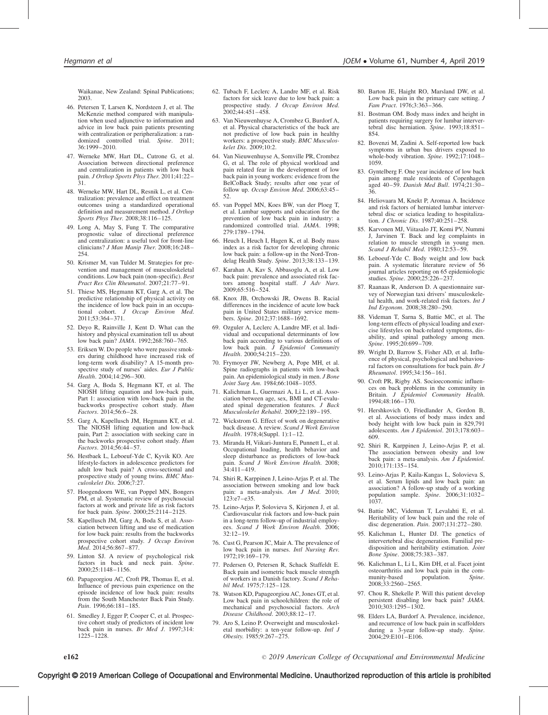Waikanae, New Zealand: Spinal Publications; 2003.

- 46. Petersen T, Larsen K, Nordsteen J, et al. The McKenzie method compared with manipulation when used adjunctive to information and advice in low back pain patients presenting with centralization or peripheralization: a randomized controlled trial. Spine. 2011; 36:1999–2010.
- 47. Werneke MW, Hart DL, Cutrone G, et al. Association between directional preference and centralization in patients with low back pain. J Orthop Sports Phys Ther. 2011;41:22– 31.
- 48. Werneke MW, Hart DL, Resnik L, et al. Centralization: prevalence and effect on treatment outcomes using a standardized operational definition and measurement method. *J Orthop* Sports Phys Ther. 2008;38:116–125.
- 49. Long A, May S, Fung T. The comparative prognostic value of directional preference and centralization: a useful tool for front-line clinicians? J Man Manip Ther. 2008;16:248– 254.
- 50. Krismer M, van Tulder M. Strategies for prevention and management of musculoskeletal conditions. Low back pain (non-specific). Best Pract Res Clin Rheumatol. 2007;21:77–91.
- 51. Thiese MS, Hegmann KT, Garg A, et al. The predictive relationship of physical activity on the incidence of low back pain in an occupational cohort. J Occup Environ Med. 2011;53:364–371.
- 52. Deyo R, Rainville J, Kent D. What can the history and physical examination tell us about low back pain? JAMA. 1992;268:760–765.
- 53. Eriksen W. Do people who were passive smok-ers during childhood have increased risk of long-term work disability? A 15-month prospective study of nurses' aides. Eur J Public Health. 2004;14:296–300.
- 54. Garg A, Boda S, Hegmann KT, et al. The NIOSH lifting equation and low-back pain, Part 1: association with low-back pain in the backworks prospective cohort study. Hum Factors. 2014;56:6–28.
- 55. Garg A, Kapellusch JM, Hegmann KT, et al. The NIOSH lifting equation and low-back pain, Part 2: association with seeking care in the backworks prospective cohort study. Hum Factors. 2014;56:44–57.
- 56. Hestbaek L, Leboeuf-Yde C, Kyvik KO. Are lifestyle-factors in adolescence predictors for adult low back pain? A cross-sectional and prospective study of young twins. BMC Musculoskelet Dis. 2006;7:27.
- 57. Hoogendoorn WE, van Poppel MN, Bongers PM, et al. Systematic review of psychosocial factors at work and private life as risk factors for back pain. Spine. 2000;25:2114–2125.
- 58. Kapellusch JM, Garg A, Boda S, et al. Association between lifting and use of medication for low back pain: results from the backworks prospective cohort study. J Occup Environ Med. 2014;56:867–877.
- 59. Linton SJ. A review of psychological risk factors in back and neck pain. Spine. 2000;25:1148–1156.
- 60. Papageorgiou AC, Croft PR, Thomas E, et al. Influence of previous pain experience on the episode incidence of low back pain: results from the South Manchester Back Pain Study. Pain. 1996;66:181–185.
- 61. Smedley J, Egger P, Cooper C, et al. Prospective cohort study of predictors of incident low back pain in nurses. Br Med J. 1997;314: 1225–1228.
- 62. Tubach F, Leclerc A, Landre MF, et al. Risk factors for sick leave due to low back pain: a prospective study. J Occup Environ Med.  $2002:44:451-458$ .
- 63. Van Nieuwenhuyse A, Crombez G, Burdorf A, et al. Physical characteristics of the back are not predictive of low back pain in healthy workers: a prospective study. BMC Musculoskelet Dis. 2009;10:2.
- 64. Van Nieuwenhuyse A, Somville PR, Crombez G, et al. The role of physical workload and pain related fear in the development of low back pain in young workers: evidence from the BelCoBack Study; results after one year of follow up. Occup Environ Med. 2006;63:45– 52.
- 65. van Poppel MN, Koes BW, van der Ploeg T, et al. Lumbar supports and education for the prevention of low back pain in industry: a randomized controlled trial. JAMA. 1998; 279:1789–1794.
- 66. Heuch I, Heuch I, Hagen K, et al. Body mass index as a risk factor for developing chronic low back pain: a follow-up in the Nord-Trondelag Health Study. Spine. 2013;38:133–139.
- 67. Karahan A, Kav S, Abbasoglu A, et al. Low back pain: prevalence and associated risk factors among hospital staff. J Adv Nurs. 2009;65:516–524.
- 68. Knox JB, Orchowski JR, Owens B. Racial differences in the incidence of acute low back pain in United States military service members. Spine. 2012;37:1688–1692.
- 69. Ozguler A, Leclerc A, Landre MF, et al. Individual and occupational determinants of low back pain according to various definitions of low back pain. J Epidemiol Community Health. 2000;54:215-220.
- 70. Frymoyer JW, Newberg A, Pope MH, et al. Spine radiographs in patients with low-back pain. An epidemiological study in men. J Bone Joint Surg Am. 1984;66:1048–1055.
- 71. Kalichman L, Guermazi A, Li L, et al. Association between age, sex, BMI and CT-evaluated spinal degeneration features. J Back Musculoskelet Rehabil. 2009;22:189–195.
- 72. Wickstrom G. Effect of work on degenerative back disease. A review. Scand J Work Environ Health. 1978;4(Suppl. 1):1–12.
- 73. Miranda H, Viikari-Juntura E, Punnett L, et al. Occupational loading, health behavior and sleep disturbance as predictors of low-back pain. Scand J Work Environ Health. 2008; 34:411–419.
- 74. Shiri R, Karppinen J, Leino-Arjas P, et al. The association between smoking and low back pain: a meta-analysis. Am J Med. 2010; 123:e7–e35.
- 75. Leino-Arjas P, Solovieva S, Kirjonen J, et al. Cardiovascular risk factors and low-back pain in a long-term follow-up of industrial employees. Scand J Work Environ Health. 2006; 32:12–19.
- 76. Cust G, Pearson JC, Mair A. The prevalence of low back pain in nurses. Intl Nursing Rev. 1972;19:169–179.
- 77. Pedersen O, Petersen R, Schack Staffeldt E. Back pain and isometric back muscle strength of workers in a Danish factory. Scand J Rehabil Med. 1975;7:125–128.
- 78. Watson KD, Papageorgiou AC, Jones GT, et al. Low back pain in schoolchildren: the role of mechanical and psychosocial factors. Arch Disease Childhood. 2003;88:12–17.
- 79. Aro S, Leino P. Overweight and musculoskeletal morbidity: a ten-year follow-up. Intl J Obesity. 1985;9:267–275.
- 80. Barton JE, Haight RO, Marsland DW, et al. Low back pain in the primary care setting. J Fam Pract. 1976;3:363–366.
- 81. Bostman OM. Body mass index and height in patients requiring surgery for lumbar intervertebral disc herniation. Spine. 1993;18:851– 854.
- 82. Bovenzi M, Zadini A. Self-reported low back symptoms in urban bus drivers exposed to whole-body vibration. Spine. 1992;17:1048– 1059.
- 83. Gyntelberg F. One year incidence of low back pain among male residents of Copenhagen aged 40–59. Danish Med Bull. 1974;21:30– 36.
- 84. Heliovaara M, Knekt P, Aromaa A. Incidence and risk factors of herniated lumbar intervertebral disc or sciatica leading to hospitalization. J Chronic Dis. 1987;40:251–258.
- 85. Karvonen MJ, Viitasalo JT, Komi PV, Nummi J, Jarvinen T. Back and leg complaints in relation to muscle strength in young men. Scand J Rehabil Med. 1980;12:53–59.
- 86. Leboeuf-Yde C. Body weight and low back pain. A systematic literature review of 56 journal articles reporting on 65 epidemiologic studies. Spine. 2000;25:226–237.
- 87. Raanaas R, Anderson D. A questionnaire survey of Norwegian taxi drivers' musculoskeletal health, and work-related risk factors. Int J Ind Ergonom. 2008;38:280–290.
- 88. Videman T, Sarna S, Battie MC, et al. The long-term effects of physical loading and exercise lifestyles on back-related symptoms, disability, and spinal pathology among men. Spine. 1995;20:699–709.
- 89. Wright D, Barrow S, Fisher AD, et al. Influence of physical, psychological and behavioural factors on consultations for back pain. Br J Rheumatol. 1995;34:156–161.
- 90. Croft PR, Rigby AS. Socioeconomic influences on back problems in the community in Britain. J Epidemiol Community Health. 1994;48:166–170.
- 91. Hershkovich O, Friedlander A, Gordon B, et al. Associations of body mass index and body height with low back pain in 829,791 adolescents. Am J Epidemiol. 2013;178:603– 609.
- 92. Shiri R, Karppinen J, Leino-Arjas P, et al. The association between obesity and low back pain: a meta-analysis. Am J Epidemiol. 2010;171:135–154.
- 93. Leino-Arjas P, Kaila-Kangas L, Solovieva S, et al. Serum lipids and low back pain: an association? A follow-up study of a working population sample. Spine. 2006;31:1032– 1037.
- 94. Battie MC, Videman T, Levalahti E, et al. Heritability of low back pain and the role of disc degeneration. Pain.  $2007;131:272-280$ .
- 95. Kalichman L, Hunter DJ. The genetics of intervertebral disc degeneration. Familial predisposition and heritability estimation. Joint Bone Spine. 2008;75:383–387.
- 96. Kalichman L, Li L, Kim DH, et al. Facet joint osteoarthritis and low back pain in the com-<br>munity-based population. Spine. population. 2008;33:2560–2565.
- 97. Chou R, Shekelle P. Will this patient develop persistent disabling low back pain? JAMA. 2010;303:1295–1302.
- 98. Elders LA, Burdorf A. Prevalence, incidence, and recurrence of low back pain in scaffolders during a 3-year follow-up study. Spine. 2004;29:E101–E106.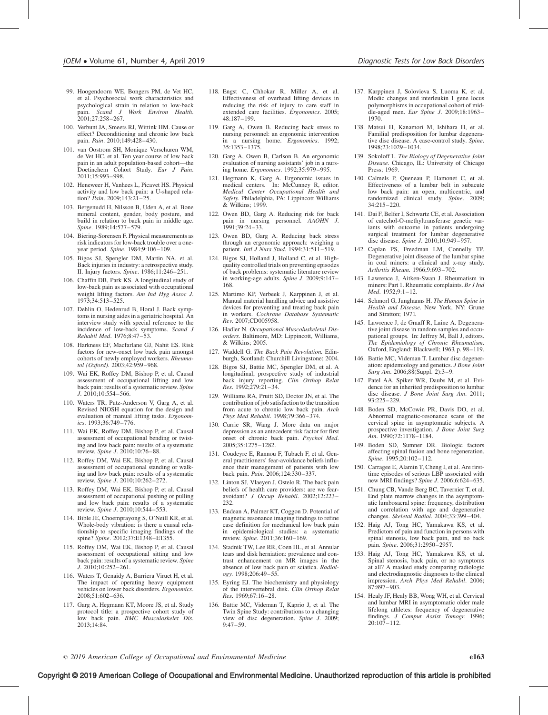- 99. Hoogendoorn WE, Bongers PM, de Vet HC, et al. Psychosocial work characteristics and psychological strain in relation to low-back pain. Scand J Work Environ Health. 2001;27:258–267.
- 100. Verbunt JA, Smeets RJ, Wittink HM. Cause or effect? Deconditioning and chronic low back pain. Pain. 2010;149:428–430.
- 101. van Oostrom SH, Monique Verschuren WM, de Vet HC, et al. Ten year course of low back pain in an adult population-based cohort—the Doetinchem Cohort Study. Eur J Pain. 2011;15:993–998.
- 102. Heneweer H, Vanhees L, Picavet HS. Physical activity and low back pain: a U-shaped relation? Pain. 2009;143:21–25.
- 103. Bergenudd H, Nilsson B, Uden A, et al. Bone mineral content, gender, body posture, and build in relation to back pain in middle age. Spine. 1989;14:577–579.
- 104. Biering-Sorensen F. Physical measurements as risk indicators for low-back trouble over a oneyear period. Spine. 1984;9:106–109.
- 105. Bigos SJ, Spengler DM, Martin NA, et al. Back injuries in industry: a retrospective study. II. Injury factors. Spine. 1986;11:246-251.
- 106. Chaffin DB, Park KS. A longitudinal study of low-back pain as associated with occupational weight lifting factors. Am Ind Hyg Assoc J. 1973;34:513–525.
- 107. Dehlin O, Hedenrud B, Horal J. Back symptoms in nursing aides in a geriatric hospital. An interview study with special reference to the incidence of low-back symptoms. Scand J Rehabil Med. 1976;8:47–53.
- 108. Harkness EF, Macfarlane GJ, Nahit ES. Risk factors for new-onset low back pain amongst cohorts of newly employed workers. Rheumatol (Oxford). 2003;42:959–968.
- 109. Wai EK, Roffey DM, Bishop P, et al. Causal assessment of occupational lifting and low back pain: results of a systematic review. Spine J. 2010;10:554–566.
- 110. Waters TR, Putz-Anderson V, Garg A, et al. Revised NIOSH equation for the design and evaluation of manual lifting tasks. Ergonomics. 1993;36:749–776.
- 111. Wai EK, Roffey DM, Bishop P, et al. Causal assessment of occupational bending or twisting and low back pain: results of a systematic review. Spine J. 2010;10:76–88.
- 112. Roffey DM, Wai EK, Bishop P, et al. Causal assessment of occupational standing or walking and low back pain: results of a systematic review. Spine J. 2010;10:262–272.
- 113. Roffey DM, Wai EK, Bishop P, et al. Causal assessment of occupational pushing or pulling and low back pain: results of a systematic review. Spine J. 2010;10:544–553.
- 114. Bible JE, Choemprayong S, O'Neill KR, et al. Whole-body vibration: is there a causal relationship to specific imaging findings of the spine? Spine. 2012;37:E1348–E1355.
- 115. Roffey DM, Wai EK, Bishop P, et al. Causal assessment of occupational sitting and low back pain: results of a systematic review. Spine J. 2010;10:252–261.
- 116. Waters T, Genaidy A, Barriera Viruet H, et al. The impact of operating heavy equipment vehicles on lower back disorders. Ergonomics. 2008;51:602–636.
- 117. Garg A, Hegmann KT, Moore JS, et al. Study protocol title: a prospective cohort study of low back pain.  $B\overline{MC}$  Musculoskelet Dis. 2013;14:84.
- 118. Engst C, Chhokar R, Miller A, et al. Effectiveness of overhead lifting devices in reducing the risk of injury to care staff in extended care facilities. Ergonomics. 2005; 48:187–199.
- 119. Garg A, Owen B. Reducing back stress to nursing personnel: an ergonomic intervention in a nursing home. Ergonomics. 1992; 35:1353–1375.
- 120. Garg A, Owen B, Carlson B. An ergonomic evaluation of nursing assistants' job in a nursing home. Ergonomics. 1992;35:979–995.
- 121. Hegmann K, Garg A. Ergonomic issues in medical centers. In: McCunney R, editor. Medical Center Occupational Health and Safety. Philadelphia, PA: Lippincott Williams & Wilkins; 1999.
- 122. Owen BD, Garg A. Reducing risk for back pain in nursing personnel. AAOHN J. 1991;39:24–33.
- 123. Owen BD, Garg A. Reducing back stress through an ergonomic approach: weighing a patient. *Intl J Nurs Stud.* 1994;31:511-519.
- 124. Bigos SJ, Holland J, Holland C, et al. Highquality controlled trials on preventing episodes of back problems: systematic literature review in working-age adults. Spine J. 2009;9:147– 168.
- 125. Martimo KP, Verbeek J, Karppinen J, et al. Manual material handling advice and assistive devices for preventing and treating back pain in workers. Cochrane Database Systematic Rev. 2007;CD005958.
- 126. Hadler N. Occupational Muscoluskeletal Disorders. Baltimore, MD: Lippincott, Williams,  $&$  Wilkins: 2005.
- 127. Waddell G. The Back Pain Revolution. Edinburgh, Scotland: Churchill Livingstone; 2004.
- 128. Bigos SJ, Battie MC, Spengler DM, et al. A longitudinal, prospective study of industrial back injury reporting. Clin Orthop Relat Res. 1992;279:21–34.
- 129. Williams RA, Pruitt SD, Doctor JN, et al. The contribution of job satisfaction to the transition from acute to chronic low back pain. Arch Phys Med Rehabil. 1998;79:366–374.
- 130. Currie SR, Wang J. More data on major depression as an antecedent risk factor for first onset of chronic back pain. Psychol Med. 2005;35:1275–1282.
- 131. Coudeyre E, Rannou F, Tubach F, et al. General practitioners' fear-avoidance beliefs influence their management of patients with low back pain. Pain. 2006;124:330–337.
- 132. Linton SJ, Vlaeyen J, Ostelo R. The back pain beliefs of health care providers: are we fear-<br>avoidant? *J Occup Rehabil.* 2002;12:223-232.
- 133. Endean A, Palmer KT, Coggon D. Potential of magnetic resonance imaging findings to refine case definition for mechanical low back pain in epidemiological studies: a systematic review. Spine. 2011;36:160–169.
- 134. Stadnik TW, Lee RR, Coen HL, et al. Annular tears and disk herniation: prevalence and contrast enhancement on MR images in the absence of low back pain or sciatica. Radiology. 1998;206:49–55.
- 135. Eyring EJ. The biochemistry and physiology of the intervertebral disk. Clin Orthop Relat Res. 1969;67:16–28.
- 136. Battie MC, Videman T, Kaprio J, et al. The Twin Spine Study: contributions to a changing view of disc degeneration. Spine J. 2009; 9:47–59.
- 137. Karppinen J, Solovieva S, Luoma K, et al. Modic changes and interleukin 1 gene locus polymorphisms in occupational cohort of middle-aged men. Eur Spine J. 2009;18:1963– 1970.
- 138. Matsui H, Kanamori M, Ishihara H, et al. Familial predisposition for lumbar degenerative disc disease. A case-control study. Spine. 1998;23:1029–1034.
- 139. Sokoloff L. The Biology of Degenerative Joint Disease. Chicago, IL: University of Chicago Press; 1969.
- 140. Calmels P, Queneau P, Hamonet C, et al. Effectiveness of a lumbar belt in subacute low back pain: an open, multicentric, and randomized clinical study. Spine. 2009;  $34.215 - 220$
- 141. Dai F, Belfer I, Schwartz CE, et al. Association of catechol-O-methyltransferase genetic variants with outcome in patients undergoing surgical treatment for lumbar degenerative disc disease. Spine J. 2010;10:949–957.
- 142. Caplan PS, Freedman LM, Connelly TP. Degenerative joint disease of the lumbar spine in coal miners: a clinical and x-ray study. Arthritis Rheum. 1966;9:693–702.
- 143. Lawrence J, Aitken-Swan J. Rheumatism in miners: Part 1. Rheumatic complaints. Br J Ind Med. 1952;9:1–12.
- 144. Schmorl G, Junghanns H. The Human Spine in Health and Disease. New York, NY: Grune and Stratton; 1971.
- 145. Lawrence J, de Graaff R, Laine A. Degenerative joint disease in random samples and occupational groups. In: Jeffrey M, Ball J, editors. The Epidemiology of Chronic Rheumatism. Oxford, England: Blackwell; 1963. p. 98–119.
- 146. Battie MC, Videman T. Lumbar disc degeneration: epidemiology and genetics. J Bone Joint Surg Am. 2006;88(Suppl. 2):3–9.
- 147. Patel AA, Spiker WR, Daubs M, et al. Evidence for an inherited predisposition to lumbar disc disease. J Bone Joint Surg Am. 2011; 93:225–229.
- 148. Boden SD, McCowin PR, Davis DO, et al. Abnormal magnetic-resonance scans of the cervical spine in asymptomatic subjects. A prospective investigation. J Bone Joint Surg Am. 1990;72:1178–1184.
- 149. Boden SD, Sumner DR. Biologic factors affecting spinal fusion and bone regeneration. Spine. 1995;20:102–112.
- 150. Carragee E, Alamin T, Cheng I, et al. Are firsttime episodes of serious LBP associated with new MRI findings? Spine J. 2006;6:624–635.
- 151. Chung CB, Vande Berg BC, Tavernier T, et al. End plate marrow changes in the asymptomatic lumbosacral spine: frequency, distribution and correlation with age and degenerative changes. Skeletal Radiol. 2004;33:399–404.
- 152. Haig AJ, Tong HC, Yamakawa KS, et al. Predictors of pain and function in persons with spinal stenosis, low back pain, and no back pain. Spine. 2006;31:2950–2957.
- 153. Haig AJ, Tong HC, Yamakawa KS, et al. Spinal stenosis, back pain, or no symptoms at all? A masked study comparing radiologic and electrodiagnostic diagnoses to the clinical impression. Arch Phys Med Rehabil. 2006; 87:897–903.
- 154. Healy JF, Healy BB, Wong WH, et al. Cervical and lumbar MRI in asymptomatic older male lifelong athletes: frequency of degenerative findings. J Comput Assist Tomogr. 1996;  $20:107 - 112.$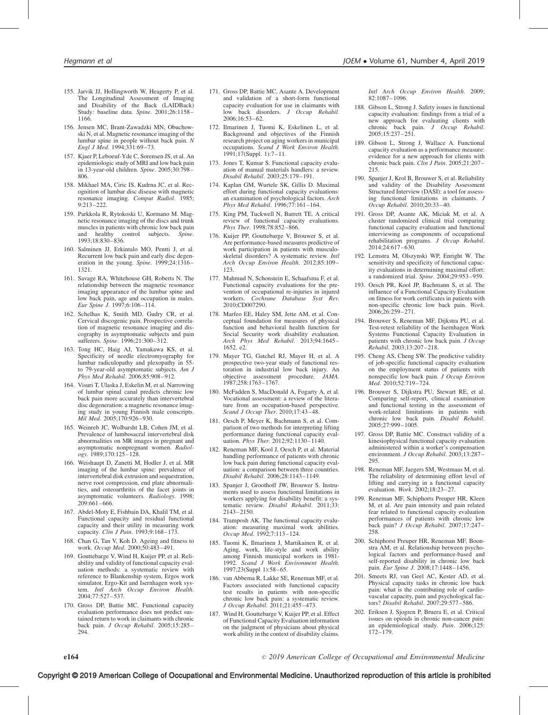- 155. Jarvik JJ, Hollingworth W, Heagerty P, et al. The Longitudinal Assessment of Imaging and Disability of the Back (LAIDBack) Study: baseline data. Spine. 2001;26:1158– 1166.
- 156. Jensen MC, Brant-Zawadzki MN, Obuchowski N, et al. Magnetic resonance imaging of the lumbar spine in people without back pain. N Engl J Med. 1994;331:69–73.
- 157. Kjaer P, Leboeuf-Yde C, Sorensen JS, et al. An epidemiologic study of MRI and low back pain in 13-year-old children. Spine. 2005;30:798– 806.
- 158. Mikhael MA, Ciric IS, Kudrna JC, et al. Recognition of lumbar disc disease with magnetic resonance imaging. Comput Radiol. 1985;  $9.213 - 222$
- 159. Parkkola R, Rytokoski U, Kormano M. Magnetic resonance imaging of the discs and trunk muscles in patients with chronic low back pain<br>and healthy control subjects. Spine. and healthy control subjects. 1993;18:830–836.
- 160. Salminen JJ, Erkintalo MO, Pentti J, et al. Recurrent low back pain and early disc degeneration in the young. Spine. 1999;24:1316-1321.
- 161. Savage RA, Whitehouse GH, Roberts N. The relationship between the magnetic resonance imaging appearance of the lumbar spine and low back pain, age and occupation in males. Eur Spine J. 1997;6:106–114.
- 162. Schelhas K, Smith MD, Gudry CR, et al. Cervical discogenic pain. Prospective correlation of magnetic resonance imaging and discography in asymptomatic subjects and pain sufferers. Spine. 1996;21:300–312.
- 163. Tong HC, Haig AJ, Yamakawa KS, et al. Specificity of needle electromyography for lumbar radiculopathy and plexopathy in 55 to 79-year-old asymptomatic subjects. Am J Phys Med Rehabil. 2006;85:908–912.
- 164. Visuri T, Ulaska J, Eskelin M, et al. Narrowing of lumbar spinal canal predicts chronic low back pain more accurately than intervertebral disc degeneration: a magnetic resonance imaging study in young Finnish male conscripts. Mil Med. 2005;170:926–930.
- 165. Weinreb JC, Wolbarsht LB, Cohen JM, et al. Prevalence of lumbosacral intervertebral disk abnormalities on MR images in pregnant and asymptomatic nonpregnant women. Radiol- $\log y$ . 1989;170:125–128.
- 166. Weishaupt D, Zanetti M, Hodler J, et al. MR imaging of the lumbar spine: prevalence of intervertebral disk extrusion and sequestration. nerve root compression, end plate abnormalities, and osteoarthritis of the facet joints in asymptomatic volunteers. Radiology. 1998; 209:661–666.
- 167. Abdel-Moty E, Fishbain DA, Khalil TM, et al. Functional capacity and residual functional capacity and their utility in measuring work capacity. Clin J Pain. 1993;9:168-173.
- 168. Chan G, Tan V, Koh D. Ageing and fitness to work. Occup Med. 2000;50:483–491.
- 169. Gouttebarge V, Wind H, Kuijer PP, et al. Reliability and validity of functional capacity evaluation methods: a systematic review with reference to Blankenship system, Ergos work simulator, Ergo-Kit and Isernhagen work system. Intl Arch Occup Environ Health. 2004;77:527–537.
- 170. Gross DP, Battie MC. Functional capacity evaluation performance does not predict sustained return to work in claimants with chronic back pain. J Occup Rehabil. 2005;15:285– 294.
- 171. Gross DP, Battie MC, Asante A. Development and validation of a short-form functional capacity evaluation for use in claimants with low back disorders. J Occup Rehabil. 2006;16:53–62.
- 172. Ilmarinen J, Tuomi K, Eskelinen L, et al. Background and objectives of the Finnish research project on aging workers in municipal occupations. Scand J Work Environ Health. 1991;17(Suppl. 1):7–11.
- 173. Jones T, Kumar S. Functional capacity evaluation of manual materials handlers: a review. Disabil Rehabil. 2003;25:179–191.
- 174. Kaplan GM, Wurtele SK, Gillis D. Maximal effort during functional capacity evaluations: an examination of psychological factors. Arch Phys Med Rehabil. 1996;77:161–164.
- 175. King PM, Tuckwell N, Barrett TE. A critical review of functional capacity evaluations. Phys Ther. 1998;78:852–866.
- 176. Kuijer PP, Gouttebarge V, Brouwer S, et al. Are performance-based measures predictive of work participation in patients with musculoskeletal disorders? A systematic review. Intl Arch Occup Environ Health. 2012;85:109– 123.
- 177. Mahmud N, Schonstein E, Schaafsma F, et al. Functional capacity evaluations for the prevention of occupational re-injuries in injured workers. Cochrane Database Syst Rev. 2010;CD007290.
- 178. Marfeo EE, Haley SM, Jette AM, et al. Conceptual foundation for measures of physical function and behavioral health function for Social Security work disability evaluation. Arch Phys Med Rehabil. 2013;94:1645–  $1652e2$
- 179. Mayer TG, Gatchel RJ, Mayer H, et al. A prospective two-year study of functional restoration in industrial low back injury. An objective assessment procedure. JAMA. 1987;258:1763–1767.
- 180. McFadden S, MacDonald A, Fogarty A, et al. Vocational assessment: a review of the literature from an occupation-based perspective. Scand J Occup Ther. 2010;17:43–48.
- 181. Oesch P, Meyer K, Bachmann S, et al. Comparison of two methods for interpreting lifting performance during functional capacity evaluation. *Phys Ther.* 2012;92:1130-1140.
- 182. Reneman MF, Kool J, Oesch P, et al. Material handling performance of patients with chronic low back pain during functional capacity evaluation: a comparison between three countries. Disabil Rehabil. 2006;28:1143–1149.
- 183. Spanjer J, Groothoff JW, Brouwer S. Instruments used to assess functional limitations in workers applying for disability benefit: a systematic review. Disabil Rehabil. 2011;33: 2143–2150.
- 184. Tramposh AK. The functional capacity evaluation: measuring maximal work abilities. Occup Med. 1992;7:113–124.
- 185. Tuomi K, Ilmarinen J, Martikainen R, et al. Aging, work, life-style and work ability among Finnish municipal workers in 1981- 1992. Scand J Work Environment Health. 1997;23(Suppl 1):58–65.
- 186. van Abbema R, Lakke SE, Reneman MF, et al. Factors associated with functional capacity test results in patients with non-specific chronic low back pain: a systematic review. J Occup Rehabil. 2011;21:455–473.
- 187. Wind H, Gouttebarge V, Kuijer PP, et al. Effect of Functional Capacity Evaluation information on the judgment of physicians about physical work ability in the context of disability claims.

Intl Arch Occup Environ Health. 2009; 82:1087–1096.

- 188. Gibson L, Strong J. Safety issues in functional capacity evaluation: findings from a trial of a new approach for evaluating clients with chronic back pain. J Occup Rehabil. 2005;15:237–251.
- 189. Gibson L, Strong J, Wallace A. Functional capacity evaluation as a performance measure: evidence for a new approach for clients with chronic back pain. Clin J Pain. 2005;21:207-215.
- 190. Spanjer J, Krol B, Brouwer S, et al. Reliability and validity of the Disability Assessment Structured Interview (DASI): a tool for assessing functional limitations in claimants. J Occup Rehabil. 2010;20:33–40.
- 191. Gross DP, Asante AK, Miciak M, et al. A cluster randomized clinical trial comparing functional capacity evaluation and functional interviewing as components of occupational rehabilitation programs. J Occup Rehabil. 2014;24:617–630.
- 192. Lemstra M, Olszynski WP, Enright W. The sensitivity and specificity of functional capacity evaluations in determining maximal effort: a randomized trial. Spine. 2004;29:953-959.
- 193. Oesch PR, Kool JP, Bachmann S, et al. The influence of a Functional Capacity Evaluation on fitness for work certificates in patients with non-specific chronic low back pain. Work. 2006;26:259–271.
- 194. Brouwer S, Reneman MF, Dijkstra PU, et al. Test-retest reliability of the Isernhagen Work Systems Functional Capacity Evaluation in patients with chronic low back pain. J Occup Rehabil. 2003;13:207–218.
- 195. Cheng AS, Cheng SW. The predictive validity of job-specific functional capacity evaluation on the employment status of patients with nonspecific low back pain. J Occup Environ Med. 2010;52:719–724.
- 196. Brouwer S, Dijkstra PU, Stewart RE, et al. Comparing self-report, clinical examination and functional testing in the assessment of work-related limitations in patients with chronic low back pain. Disabil Rehabil. 2005;27:999–1005.
- 197. Gross DP, Battie MC. Construct validity of a kinesiophysical functional capacity evaluation administered within a worker's compensation environment. J Occup Rehabil. 2003;13:287– 295.
- 198. Reneman MF, Jaegers SM, Westmaas M, et al. The reliability of determining effort level of lifting and carrying in a functional capacity evaluation. Work. 2002;18:23–27.
- 199. Reneman MF, Schiphorts Preuper HR, Kleen M, et al. Are pain intensity and pain related fear related to functional capacity evaluation performances of patients with chronic low back pain? J Occup Rehabil. 2007;17:247– 258
- 200. Schiphorst Preuper HR, Reneman MF, Boonstra AM, et al. Relationship between psychological factors and performance-based and self-reported disability in chronic low back pain. Eur Spine J. 2008;17:1448–1456.
- 201. Smeets RJ, van Geel AC, Kester AD, et al. Physical capacity tasks in chronic low back pain: what is the contributing role of cardiovascular capacity, pain and psychological factors? Disabil Rehabil. 2007;29:577–586.
- 202. Eriksen J, Sjogren P, Bruera E, et al. Critical issues on opioids in chronic non-cancer pain: an epidemiological study. Pain. 2006;125: 172–179.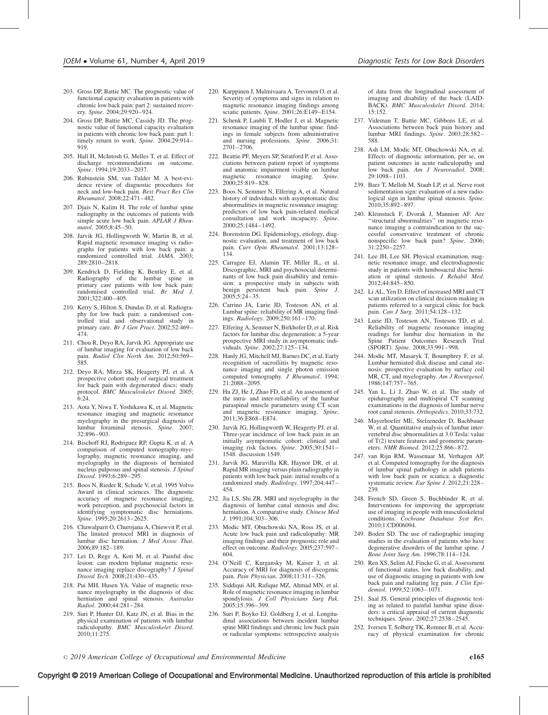- 203. Gross DP, Battie MC. The prognostic value of functional capacity evaluation in patients with chronic low back pain: part 2: sustained recovery. Spine. 2004;29:920–924.
- 204. Gross DP, Battie MC, Cassidy JD. The prognostic value of functional capacity evaluation in patients with chronic low back pain: part 1: timely return to work. Spine. 2004;29:914-919.
- 205. Hall H, McIntosh G, Melles T, et al. Effect of discharge recommendations on outcome. Spine. 1994;19:2033–2037.
- 206. Rubinstein SM, van Tulder M. A best-evidence review of diagnostic procedures for neck and low-back pain. Best Pract Res Clin Rheumatol. 2008;22:471–482.
- 207. Djais N, Kalim H. The role of lumbar spine radiography in the outcomes of patients with simple acute low back pain. APLAR J Rheumatol. 2005;8:45–50.
- 208. Jarvik JG, Hollingworth W, Martin B, et al. Rapid magnetic resonance imaging vs radiographs for patients with low back pain: a randomized controlled trial. JAMA. 2003; 289:2810–2818.
- 209. Kendrick D, Fielding K, Bentley E, et al. Radiography of the lumbar spine in primary care patients with low back pain: randomised controlled trial. Br Med J. 2001;322:400–405.
- 210. Kerry S, Hilton S, Dundas D, et al. Radiography for low back pain: a randomised con-trolled trial and observational study in primary care. Br J Gen Pract. 2002;52:469-474.
- 211. Chou R, Deyo RA, Jarvik JG. Appropriate use of lumbar imaging for evaluation of low back pain. Radiol Clin North Am. 2012;50:569-585.
- 212. Deyo RA, Mirza SK, Heagerty PJ, et al. A prospective cohort study of surgical treatment for back pain with degenerated discs; study protocol. BMC Musculoskelet Disord. 2005;  $6.24.$
- 213. Aota Y, Niwa T, Yoshikawa K, et al. Magnetic resonance imaging and magnetic resonance myelography in the presurgical diagnosis of lumbar foraminal stenosis. Spine. 2007; 32:896–903.
- 214. Bischoff RJ, Rodriguez RP, Gupta K, et al. A comparison of computed tomography-myelography, magnetic resonance imaging, and myelography in the diagnosis of herniated nucleus pulposus and spinal stenosis. J Spinal Disord. 1993;6:289–295.
- 215. Boos N, Rieder R, Schade V, et al. 1995 Volvo Award in clinical sciences. The diagnostic accuracy of magnetic resonance imaging, work perception, and psychosocial factors in identifying symptomatic disc herniations. Spine. 1995;20:2613–2625.
- 216. Chawalparit O, Churojana A, Chiewvit P, et al. The limited protocol MRI in diagnosis of lumbar disc herniation. J Med Assoc Thai. 2006;89:182–189.
- 217. Lei D, Rege A, Koti M, et al. Painful disc lesion: can modern biplanar magnetic resonance imaging replace discography? J Spinal Disord Tech. 2008;21:430–435.
- 218. Pui MH, Husen YA. Value of magnetic resonance myelography in the diagnosis of disc herniation and spinal stenosis. Australas Radiol. 2000;44:281–284.
- 219. Suri P, Hunter DJ, Katz JN, et al. Bias in the physical examination of patients with lumbar radiculopathy. BMC Musculoskelet Disord. 2010;11:275.
- 220. Karppinen J, Malmivaara A, Tervonen O, et al. Severity of symptoms and signs in relation to magnetic resonance imaging findings among sciatic patients. Spine. 2001;26:E149-E154.
- 221. Schenk P, Laubli T, Hodler J, et al. Magnetic resonance imaging of the lumbar spine: findings in female subjects from administrative and nursing professions. Spine. 2006;31: 2701–2706.
- 222. Beattie PF, Meyers SP, Stratford P, et al. Associations between patient report of symptoms and anatomic impairment visible on lumbar magnetic resonance imaging. Spine. 2000;25:819–828.
- 223. Boos N, Semmer N, Elfering A, et al. Natural history of individuals with asymptomatic disc abnormalities in magnetic resonance imaging: predictors of low back pain-related medical consultation and work incapacity. Spine. 2000;25:1484–1492.
- 224. Borenstein DG. Epidemiology, etiology, diagnostic evaluation, and treatment of low back pain. Curr Opin Rheumatol. 2001;13:128– 134.
- 225. Carragee EJ, Alamin TF, Miller JL, et al. Discographic, MRI and psychosocial determinants of low back pain disability and remis-<br>sion: a prospective study in subjects with sion: a prospective study in subjects with<br>benign persistent back pain. Spine J.<br>2005;5:24–35.
- 226. Carrino JA, Lurie JD, Tosteson AN, et al. Lumbar spine: reliability of MR imaging findings. Radiology. 2009;250:161–170.
- 227. Elfering A, Semmer N, Birkhofer D, et al. Risk factors for lumbar disc degeneration: a 5-year prospective MRI study in asymptomatic indi-viduals. Spine. 2002;27:125–134.
- 228. Hanly JG, Mitchell MJ, Barnes DC, et al. Early recognition of sacroiliitis by magnetic resonance imaging and single photon emission computed tomography. J Rheumatol. 1994; 21:2088–2095.
- 229. Hu ZJ, He J, Zhao FD, et al. An assessment of the intra- and inter-reliability of the lumbar paraspinal muscle parameters using CT scan and magnetic resonance imaging. Spine. 2011;36:E868–E874.
- 230. Jarvik JG, Hollingworth W, Heagerty PJ, et al. Three-year incidence of low back pain in an initially asymptomatic cohort: clinical and imaging risk factors. Spine. 2005;30:1541– 1548. discussion 1549.
- 231. Jarvik JG, Maravilla KR, Haynor DR, et al. Rapid MR imaging versus plain radiography in patients with low back pain: initial results of a randomized study. Radiology. 1997;204:447– 454.
- 232. Jia LS, Shi ZR. MRI and myelography in the diagnosis of lumbar canal stenosis and disc herniation. A comparative study. Chinese Med  $J$  1991;104:303-306
- 233. Modic MT, Obuchowski NA, Ross JS, et al. Acute low back pain and radiculopathy: MR imaging findings and their prognostic role and effect on outcome. Radiology. 2005;237:597– 604.
- 234. O'Neill C, Kurgansky M, Kaiser J, et al. Accuracy of MRI for diagnosis of discogenic pain. Pain Physician. 2008;11:311–326.
- 235. Siddiqui AH, Rafique MZ, Ahmad MN, et al. Role of magnetic resonance imaging in lumbar spondylosis. J Coll Physicians Surg Pak. 2005;15:396–399.
- 236. Suri P, Boyko EJ, Goldberg J, et al. Longitudinal associations between incident lumbar spine MRI findings and chronic low back pain or radicular symptoms: retrospective analysis

of data from the longitudinal assessment of imaging and disability of the back (LAID-BACK). BMC Musculoskelet Disord. 2014; 15:152.

- 237. Videman T, Battie MC, Gibbons LE, et al. Associations between back pain history and lumbar MRI findings. Spine. 2003;28:582– 588.
- 238. Ash LM, Modic MT, Obuchowski NA, et al. Effects of diagnostic information, per se, on patient outcomes in acute radiculopathy and low back pain. Am J Neuroradiol. 2008; 29:1098–1103.
- 239. Barz T, Melloh M, Staub LP, et al. Nerve root sedimentation sign: evaluation of a new radiological sign in lumbar spinal stenosis. Spine. 2010;35:892–897.
- 240. Kleinstuck F, Dvorak J, Mannion AF. Are ''structural abnormalities'' on magnetic resonance imaging a contraindication to the successful conservative treatment of chronic nonspecific low back pain? Spine. 2006; 31:2250–2257.
- 241. Lee JH, Lee SH. Physical examination, magnetic resonance image, and electrodiagnostic study in patients with lumbosacral disc herniation or spinal stenosis. J Rehabil Med. 2012;44:845–850.
- 242. Li AL, Yen D. Effect of increased MRI and CT scan utilization on clinical decision-making in patients referred to a surgical clinic for back pain. Can J Surg. 2011;54:128–132.
- 243. Lurie JD, Tosteson AN, Tosteson TD, et al. Reliability of magnetic resonance imaging readings for lumbar disc herniation in the Spine Patient Outcomes Research Trial (SPORT). Spine. 2008;33:991–998.
- 244. Modic MT, Masaryk T, Boumphrey F, et al. Lumbar herniated disk disease and canal stenosis: prospective evaluation by surface coil MR, CT, and myelography. Am J Roentgenol. 1986;147:757–765.
- 245. Yan L, Li J, Zhao W, et al. The study of epidurography and multispiral CT scanning examinations in the diagnosis of lumbar nerve root canal stenosis. Orthopedics. 2010;33:732.
- 246. Mayerhoefer ME, Stelzeneder D, Bachbauer W, et al. Quantitative analysis of lumbar intervertebral disc abnormalities at 3.0 Tesla: value of T(2) texture features and geometric parameters. NMR Biomed. 2012;25:866–872.
- 247. van Rijn RM, Wassenaar M, Verhagen AP, et al. Computed tomography for the diagnosis of lumbar spinal pathology in adult patients with low back pain or sciatica: a diagnostic systematic review. Eur Spine J. 2012;21:228-239.
- 248. French SD, Green S, Buchbinder R, et al. Interventions for improving the appropriate use of imaging in people with musculoskeletal conditions. Cochrane Database Syst Rev. 2010;1:CD006094.
- 249. Boden SD. The use of radiographic imaging studies in the evaluation of patients who have degenerative disorders of the lumbar spine. J Bone Joint Surg Am. 1996;78:114–124.
- 250. Ren XS, Selim AJ, Fincke G, et al. Assessment of functional status, low back disability, and use of diagnostic imaging in patients with low back pain and radiating leg pain. J Clin Epidemiol. 1999;52:1063–1071.
- 251. Saal JS. General principles of diagnostic testing as related to painful lumbar spine disorders: a critical appraisal of current diagnostic techniques. Spine. 2002;27:2538–2545.
- 252. Iversen T, Solberg TK, Romner B, et al. Accuracy of physical examination for chronic

# Copyright © 2019 American College of Occupational and Environmental Medicine. Unauthorized reproduction of this article is prohibited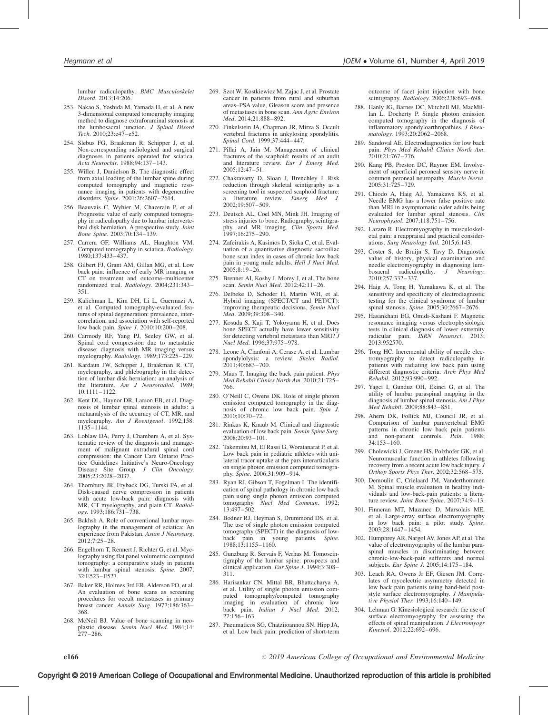lumbar radiculopathy. BMC Musculoskelet Disord. 2013;14:206.

- 253. Nakao S, Yoshida M, Yamada H, et al. A new 3-dimensional computed tomography imaging method to diagnose extraforaminal stenosis at the lumbosacral junction. J Spinal Disord Tech. 2010;23:e47–e52.
- 254. Slebus FG, Braakman R, Schipper J, et al. Non-corresponding radiological and surgical diagnoses in patients operated for sciatica. Acta Neurochir. 1988;94:137–143.
- 255. Willen J, Danielson B. The diagnostic effect from axial loading of the lumbar spine during computed tomography and magnetic resonance imaging in patients with degenerative disorders. Spine. 2001;26:2607–2614.
- 256. Beauvais C, Wybier M, Chazerain P, et al. Prognostic value of early computed tomography in radiculopathy due to lumbar intervertebral disk herniation. A prospective study. Joint Bone Spine. 2003;70:134–139.
- 257. Carrera GF, Williams AL, Haughton VM. Computed tomography in sciatica. Radiology. 1980;137:433–437.
- 258. Gilbert FJ, Grant AM, Gillan MG, et al. Low back pain: influence of early MR imaging or CT on treatment and outcome–multicenter randomized trial. Radiology. 2004;231:343– 351.
- 259. Kalichman L, Kim DH, Li L, Guermazi A, et al. Computed tomography-evaluated features of spinal degeneration: prevalence, intercorrelation, and association with self-reported low back pain. Spine J. 2010;10:200–208.
- 260. Carmody RF, Yang PJ, Seeley GW, et al. Spinal cord compression due to metastatic disease: diagnosis with MR imaging versus<br>myelography. Radiology. 1989;173:225–229.
- 261. Kardaun JW, Schipper J, Braakman R. CT, myelography, and phlebography in the detection of lumbar disk herniation: an analysis of the literature. Am J Neuroradiol. 1989; 10:1111–1122.
- 262. Kent DL, Haynor DR, Larson EB, et al. Diagnosis of lumbar spinal stenosis in adults: a metaanalysis of the accuracy of CT, MR, and myelography. Am J Roentgenol. 1992;158: 1135–1144.
- 263. Loblaw DA, Perry J, Chambers A, et al. Systematic review of the diagnosis and management of malignant extradural spinal cord compression: the Cancer Care Ontario Practice Guidelines Initiative's Neuro-Oncology Disease Site Group. J Clin Oncology. 2005;23:2028–2037.
- 264. Thornbury JR, Fryback DG, Turski PA, et al. Disk-caused nerve compression in patients with acute low-back pain: diagnosis with MR, CT myelography, and plain CT. Radiology. 1993;186:731–738.
- 265. Bakhsh A. Role of conventional lumbar myelography in the management of sciatica: An experience from Pakistan. Asian J Neurosurg. 2012;7:25–28.
- 266. Engelhorn T, Rennert J, Richter G, et al. Myelography using flat panel volumetric computed tomography: a comparative study in patients with lumbar spinal stenosis. Spine. 2007; 32:E523–E527.
- 267. Baker RR, Holmes 3rd ER, Alderson PO, et al. An evaluation of bone scans as screening procedures for occult metastases in primary breast cancer. Annals Surg. 1977;186:363– 368.
- 268. McNeil BJ. Value of bone scanning in neoplastic disease. *Semin Nucl Med*. 1984;14:<br>277–286.
- 269. Szot W, Kostkiewicz M, Zajac J, et al. Prostate cancer in patients from rural and suburban areas–PSA value, Gleason score and presence of metastases in bone scan. Ann Agric Environ Med. 2014;21:888–892.
- 270. Finkelstein JA, Chapman JR, Mirza S. Occult vertebral fractures in ankylosing spondylitis. Spinal Cord. 1999;37:444–447.
- 271. Pillai A, Jain M. Management of clinical fractures of the scaphoid: results of an audit and literature review. Eur J Emerg Med. 2005;12:47–51.
- 272. Chakravarty D, Sloan J, Brenchley J. Risk reduction through skeletal scintigraphy as a screening tool in suspected scaphoid fracture: literature review. Emerg Med J. 2002;19:507–509.
- 273. Deutsch AL, Coel MN, Mink JH. Imaging of stress injuries to bone. Radiography, scintigraphy, and MR imaging. Clin Sports Med. 1997;16:275–290.
- 274. Zafeirakis A, Kasimos D, Sioka C, et al. Evaluation of a quantitative diagnostic sacroiliac bone scan index in cases of chronic low back pain in young male adults. Hell J Nucl Med. 2005;8:19–26.
- 275. Brenner AI, Koshy J, Morey J, et al. The bone scan. Semin Nucl Med. 2012;42:11–26.
- 276. Delbeke D, Schoder H, Martin WH, et al. Hybrid imaging (SPECT/CT and PET/CT): improving therapeutic decisions. Semin Nucl Med. 2009;39:308–340.
- 277. Kosuda S, Kaji T, Yokoyama H, et al. Does bone SPECT actually have lower sensitivity for detecting vertebral metastasis than MRI?  $J$ Nucl Med. 1996;37:975–978.
- 278. Leone A, Cianfoni A, Cerase A, et al. Lumbar spondylolysis: a review. Skelet Radiol. 2011;40:683–700.
- 279. Maus T. Imaging the back pain patient. Phys Med Rehabil Clinics North Am. 2010;21:725– 766.
- 280. O'Neill C, Owens DK. Role of single photon emission computed tomography in the diagnosis of chronic low back pain. Spin J. 2010;10:70–72.
- 281. Rinkus K, Knaub M. Clinical and diagnostic evaluation of low back pain. Semin Spine Surg. 2008;20:93–101.
- 282. Takemitsu M, El Rassi G, Woratanarat P, et al. Low back pain in pediatric athletes with unilateral tracer uptake at the pars interarticularis on single photon emission computed tomography. Spine. 2006;31:909–914.
- 283. Ryan RJ, Gibson T, Fogelman I. The identification of spinal pathology in chronic low back pain using single photon emission computed tomography. Nucl Med Commun. 1992; 13:497–502.
- 284. Bodner RJ, Heyman S, Drummond DS, et al. The use of single photon emission computed tomography (SPECT) in the diagnosis of lowback pain in young patients. Spine. 1988;13:1155–1160.
- 285. Gunzburg R, Servais F, Verhas M. Tomoscintigraphy of the lumbar spine: prospects and clinical application. Eur Spine J. 1994;3:308-311.
- 286. Harisankar CN, Mittal BR, Bhattacharya A, et al. Utility of single photon emission computed tomography/computed tomography imaging in evaluation of chronic low back pain. Indian J Nucl Med. 2012; 27:156–163.
- 287. Pneumaticos SG, Chatziioannou SN, Hipp JA, et al. Low back pain: prediction of short-term

Copyright © 2019 American College of Occupational and Environmental Medicine. Unauthorized reproduction of this article is prohibited

outcome of facet joint injection with bone scintigraphy. Radiology. 2006;238:693-698.

- 288. Hanly JG, Barnes DC, Mitchell MJ, MacMillan L, Docherty P. Single photon emission computed tomography in the diagnosis of inflammatory spondyloarthropathies. J Rheumatology. 1993;20:2062–2068.
- 289. Sandoval AE. Electrodiagnostics for low back pain. Phys Med Rehabil Clinics North Am. 2010;21:767–776.
- 290. Kang PB, Preston DC, Raynor EM. Involvement of superficial peroneal sensory nerve in common peroneal neuropathy. Muscle Nerve. 2005;31:725–729.
- 291. Chiodo A, Haig AJ, Yamakawa KS, et al. Needle EMG has a lower false positive rate than MRI in asymptomatic older adults being evaluated for lumbar spinal stenosis. Clin Neurophysiol. 2007;118:751–756.
- 292. Lazaro R. Electromyography in musculoskeletal pain: a reappraisal and practical considerations. Surg Neurology Intl. 2015;6:143.
- 293. Coster S, de Bruijn S, Tavy D. Diagnostic value of history, physical examination and needle electromyography in diagnosing lum-<br>bosacral radiculopathy. J Neurology. bosacral radiculopathy.  $J$ 2010;257:332–337.
- 294. Haig A, Tong H, Yamakawa K, et al. The sensitivity and specificity of electrodiagnostic testing for the clinical syndrome of lumbar spinal stenosis. Spine. 2005;30:2667-2676.
- 295. Hasankhani EG, Omidi-Kashani F. Magnetic resonance imaging versus electrophysiologic tests in clinical diagnosis of lower extremity radicular pain. ISRN Neurosci. 2013; 2013:952570.
- 296. Tong HC. Incremental ability of needle electromyography to detect radiculopathy in patients with radiating low back pain using different diagnostic criteria. Arch Phys Med Rehabil. 2012;93:990–992.
- 297. Yagci I, Gunduz OH, Ekinci G, et al. The utility of lumbar paraspinal mapping in the diagnosis of lumbar spinal stenosis. Am J Phys Med Rehabil. 2009;88:843–851.
- 298. Ahern DK, Follick MJ, Council JR, et al. Comparison of lumbar paravertebral EMG patterns in chronic low back pain patients<br>and non-patient controls. Pain. 1988: and non-patient controls. Pain. 34:153–160.
- 299. Cholewicki J, Greene HS, Polzhofer GK, et al. Neuromuscular function in athletes following recovery from a recent acute low back injury.  $\bar{J}$ Orthop Sports Phys Ther. 2002;32:568–575.
- 300. Demoulin C, Crielaard JM, Vanderthommen M. Spinal muscle evaluation in healthy individuals and low-back-pain patients: a literature review. *Joint Bone Spine*. 2007:74:9-13.
- 301. Finneran MT, Mazanec D, Marsolais ME, et al. Large-array surface electromyography in low back pain: a pilot study. Spine. 2003;28:1447–1454.
- 302. Humphrey AR, Nargol AV, Jones AP, et al. The value of electromyography of the lumbar paraspinal muscles in discriminating between chronic-low-back-pain sufferers and normal subjects. Eur Spine J. 2005;14:175–184.
- 303. Leach RA, Owens Jr EF, Giesen JM. Correlates of myoelectric asymmetry detected in low back pain patients using hand-held poststyle surface electromyography. J Manipulative Physiol Ther. 1993;16:140–149.
- 304. Lehman G. Kinesiological research: the use of surface electromyography for assessing the effects of spinal manipulation. J Electromyogr Kinesiol. 2012;22:692–696.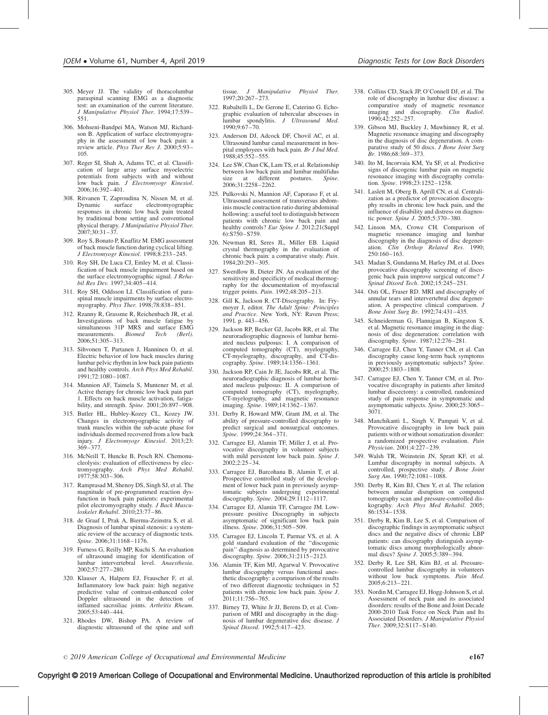- 305. Meyer JJ. The validity of thoracolumbar paraspinal scanning EMG as a diagnostic test: an examination of the current literature. J Manipulative Physiol Ther. 1994;17:539– 551.
- 306. Mohseni-Bandpei MA, Watson MJ, Richardson B. Application of surface electromyography in the assessment of low back pain: a review article. Phys Ther Rev J. 2000;5:93-105.
- 307. Reger SI, Shah A, Adams TC, et al. Classification of large array surface myoelectric potentials from subjects with and without low back pain. J Electromyogr Kinesiol. 2006;16:392–401.
- 308. Ritvanen T, Zaproudina N, Nissen M, et al. electromyographic responses in chronic low back pain treated by traditional bone setting and conventional physical therapy. J Manipulative Physiol Ther.  $2007;30:31-37.$
- 309. Roy S, Bonato P, Knaflitz M. EMG assessment of back muscle function during cyclical lifting. J Electromyogr Kinesiol. 1998;8:233–245.
- 310. Roy SH, De Luca CJ, Emley M, et al. Classification of back muscle impairment based on the surface electromyographic signal. J Rehabil Res Dev. 1997;34:405–414.
- 311. Roy SH, Oddsson LI. Classification of paraspinal muscle impairments by surface electromyography. Phys Ther. 1998;78:838–851.
- 312. Rzanny R, Grassme R, Reichenbach JR, et al. Investigations of back muscle fatigue by simultaneous 31P MRS and surface EMG measurements. Biomed Tech (Berl). 2006;51:305–313.
- 313. Sihvonen T, Partanen J, Hanninen O, et al. Electric behavior of low back muscles during lumbar pelvic rhythm in low back pain patients and healthy controls. Arch Phys Med Rehabil. 1991;72:1080–1087.
- 314. Mannion AF, Taimela S, Muntener M, et al. Active therapy for chronic low back pain part 1. Effects on back muscle activation, fatigability, and strength. Spine. 2001;26:897–908.
- 315. Butler HL, Hubley-Kozey CL, Kozey JW. Changes in electromyographic activity of trunk muscles within the sub-acute phase for individuals deemed recovered from a low back injury. J Electromyogr Kinesiol. 2013;23: 369–377.
- 316. McNeill T, Huncke B, Pesch RN. Chemonucleolysis: evaluation of effectiveness by electromyography. Arch Phys Med Rehabil. 1977;58:303–306.
- 317. Ramprasad M, Shenoy DS, Singh SJ, et al. The magnitude of pre-programmed reaction dysfunction in back pain patients: experimental pilot electromyography study. J Back Musculoskelet Rehabil. 2010;23:77–86.
- 318. de Graaf I, Prak A, Bierma-Zeinstra S, et al. Diagnosis of lumbar spinal stenosis: a systematic review of the accuracy of diagnostic tests. Spine. 2006;31:1168–1176.
- 319. Furness G, Reilly MP, Kuchi S. An evaluation of ultrasound imaging for identification of lumbar intervertebral level. Anaesthesia. 2002;57:277–280.
- 320. Klauser A, Halpern EJ, Frauscher F, et al. Inflammatory low back pain: high negative predictive value of contrast-enhanced color Doppler ultrasound in the detection of inflamed sacroiliac joints. Arthritis Rheum. 2005;53:440–444.
- 321. Rhodes DW, Bishop PA. A review of diagnostic ultrasound of the spine and soft

tissue. J Manipulative Physiol Ther. 1997;20:267–273.

- 322. Rubaltelli L, De Gerone E, Caterino G. Echographic evaluation of tubercular abscesses in lumbar spondylitis. J Ultrasound Med. 1990;9:67–70.
- 323. Anderson DJ, Adcock DF, Chovil AC, et al. Ultrasound lumbar canal measurement in hospital employees with back pain. Br J Ind Med. 1988;45:552–555.
- 324. Lee SW, Chan CK, Lam TS, et al. Relationship between low back pain and lumbar multifidus<br>size at different postures Spine size at different postures. Spine. 2006;31:2258–2262.
- 325. Pulkovski N, Mannion AF, Caporaso F, et al. Ultrasound assessment of transversus abdominis muscle contraction ratio during abdominal hollowing: a useful tool to distinguish between patients with chronic low back pain and healthy controls? Eur Spine J. 2012;21(Suppl 6):S750–S759.
- 326. Newman RI, Seres JL, Miller EB. Liquid crystal thermography in the evaluation of chronic back pain: a comparative study. Pain. 1984;20:293–305.
- 327. Swerdlow B, Dieter JN. An evaluation of the sensitivity and specificity of medical thermography for the documentation of myofascial trigger points. Pain. 1992;48:205–213.
- 328. Gill K, Jackson R. CT-Discography. In: Frymoyer J, editor. The Adult Spine: Principles and Practice. New York, NY: Raven Press; 1991. p. 443–456.
- 329. Jackson RP, Becker GJ, Jacobs RR, et al. The neuroradiographic diagnosis of lumbar herniated nucleus pulposus: I. A comparison of computed tomography (CT), myelography, CT-myelography, discography, and CT-discography. Spine. 1989;14:1356–1361.
- 330. Jackson RP, Cain Jr JE, Jacobs RR, et al. The neuroradiographic diagnosis of lumbar herniated nucleus pulposus: II. A comparison of computed tomography (CT), myelography, CT-myelography, and magnetic resonance imaging. Spine. 1989;14:1362–1367.
- 331. Derby R, Howard MW, Grant JM, et al. The ability of pressure-controlled discography to predict surgical and nonsurgical outcomes. Spine. 1999;24:364–371.
- 332. Carragee EJ, Alamin TF, Miller J, et al. Provocative discography in volunteer subjects with mild persistent low back pain. Spine J. 2002;2:25–34.
- 333. Carragee EJ, Barcohana B, Alamin T, et al. Prospective controlled study of the development of lower back pain in previously asymptomatic subjects undergoing experimental discography. Spine. 2004;29:1112–1117.
- 334. Carragee EJ, Alamin TF, Carragee JM. Lowpressure positive Discography in subjects asymptomatic of significant low back pain illness. Spine. 2006;31:505–509.
- 335. Carragee EJ, Lincoln T, Parmar VS, et al. A gold standard evaluation of the ''discogenic pain'' diagnosis as determined by provocative discography. Spine. 2006;31:2115–2123.
- 336. Alamin TF, Kim MJ, Agarwal V. Provocative lumbar discography versus functional anesthetic discography: a comparison of the results of two different diagnostic techniques in 52 patients with chronic low back pain. Spine J. 2011;11:756–765.
- 337. Birney TJ, White Jr JJ, Berens D, et al. Comparison of MRI and discography in the diagnosis of lumbar degenerative disc disease. J Spinal Disord. 1992;5:417–423.
- 338. Collins CD, Stack JP, O'Connell DJ, et al. The role of discography in lumbar disc disease: a comparative study of magnetic resonance imaging and discography. Clin Radiol. 1990;42:252–257.
- 339. Gibson MJ, Buckley J, Mawhinney R, et al. Magnetic resonance imaging and discography in the diagnosis of disc degeneration. A comparative study of 50 discs. J Bone Joint Surg Br. 1986;68:369–373.
- 340. Ito M, Incorvaia KM, Yu SF, et al. Predictive signs of discogenic lumbar pain on magnetic resonance imaging with discography correla-tion. Spine. 1998;23:1252–1258.
- 341. Laslett M, Oberg B, Aprill CN, et al. Centralization as a predictor of provocation discography results in chronic low back pain, and the influence of disability and distress on diagnostic power. Spine J. 2005;5:370–380.
- 342. Linson MA, Crowe CH. Comparison of magnetic resonance imaging and lumbar discography in the diagnosis of disc degeneration. *Clin Orthop Related Res.* 1990; ation. Clin Orthop Related Res. 250:160–163.
- 343. Madan S, Gundanna M, Harley JM, et al. Does provocative discography screening of discogenic back pain improve surgical outcome? J Spinal Disord Tech. 2002;15:245–251.
- 344. Osti OL, Fraser RD. MRI and discography of annular tears and intervertebral disc degeneration. A prospective clinical comparison. J Bone Joint Surg Br. 1992;74:431–435.
- 345. Schneiderman G, Flannigan B, Kingston S, et al. Magnetic resonance imaging in the diagnosis of disc degeneration: correlation with discography. Spine. 1987;12:276–281.
- 346. Carragee EJ, Chen Y, Tanner CM, et al. Can discography cause long-term back symptoms in previously asymptomatic subjects? Spine. 2000;25:1803–1808.
- 347. Carragee EJ, Chen Y, Tanner CM, et al. Provocative discography in patients after limited lumbar discectomy: a controlled, randomized study of pain response in symptomatic and asymptomatic subjects. Spine. 2000;25:3065-3071.
- 348. Manchikanti L, Singh V, Pampati V, et al. Provocative discography in low back pain patients with or without somatization disorder: a randomized prospective evaluation. Pain Physician. 2001;4:227–239.
- 349. Walsh TR, Weinstein JN, Spratt KF, et al. Lumbar discography in normal subjects. A controlled, prospective study. J Bone Joint Surg Am. 1990;72:1081-1088.
- 350. Derby R, Kim BJ, Chen Y, et al. The relation between annular disruption on computed tomography scan and pressure-controlled diskography. Arch Phys Med Rehabil. 2005; 86:1534–1538.
- 351. Derby R, Kim B, Lee S, et al. Comparison of discographic findings in asymptomatic subject discs and the negative discs of chronic LBP patients: can discography distinguish asymptomatic discs among morphologically abnormal discs? Spine J. 2005;5:389-394.
- 352. Derby R, Lee SH, Kim BJ, et al. Pressurecontrolled lumbar discography in volunteers without low back symptoms. Pain Med. 2005;6:213–221.
- 353. Nordin M, Carragee EJ, Hogg-Johnson S, et al. Assessment of neck pain and its associated disorders: results of the Bone and Joint Decade 2000-2010 Task Force on Neck Pain and Its Associated Disorders. J Manipulative Physiol Ther. 2009;32:S117–S140.

# Copyright © 2019 American College of Occupational and Environmental Medicine. Unauthorized reproduction of this article is prohibited